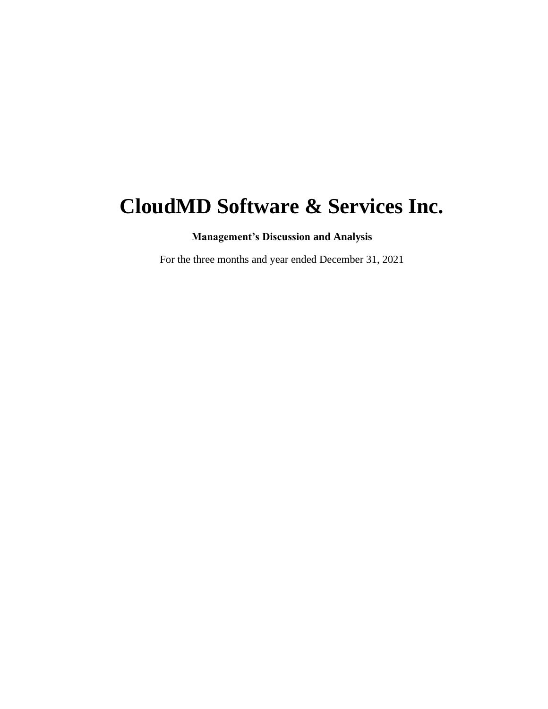# **CloudMD Software & Services Inc.**

**Management's Discussion and Analysis**

For the three months and year ended December 31, 2021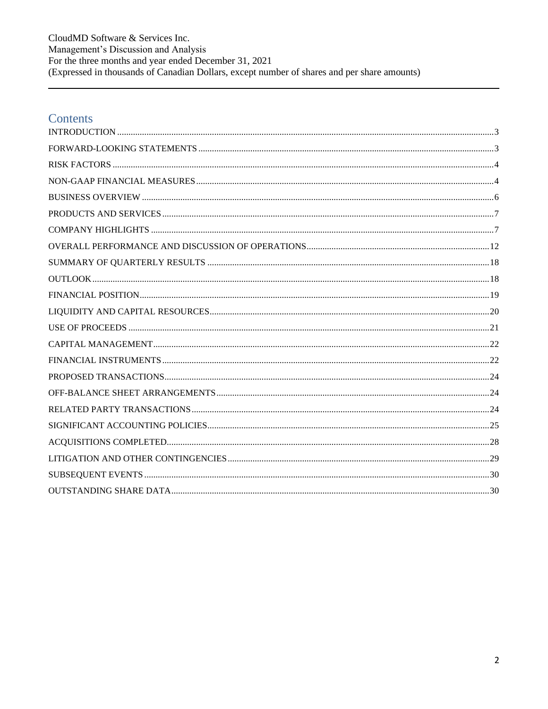CloudMD Software & Services Inc. Management's Discussion and Analysis For the three months and year ended December 31, 2021<br>(Expressed in thousands of Canadian Dollars, except number of shares and per share amounts)

### Contents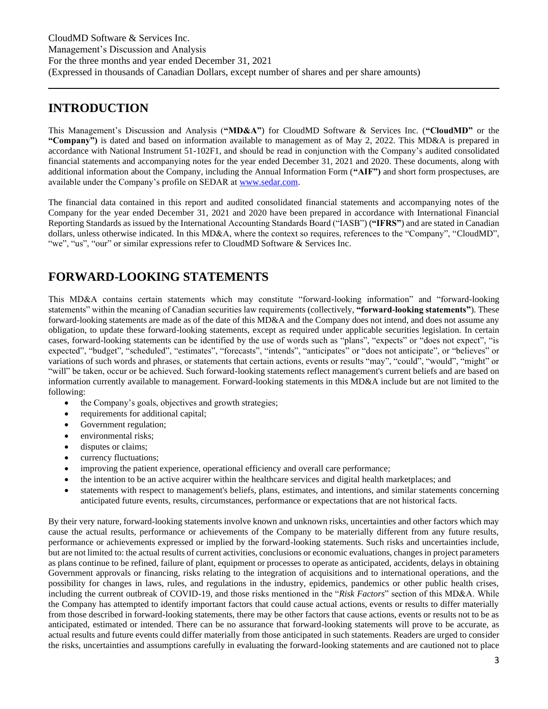### <span id="page-2-0"></span>**INTRODUCTION**

This Management's Discussion and Analysis (**"MD&A"**) for CloudMD Software & Services Inc. (**"CloudMD"** or the **"Company")** is dated and based on information available to management as of May 2, 2022. This MD&A is prepared in accordance with National Instrument 51-102F1, and should be read in conjunction with the Company's audited consolidated financial statements and accompanying notes for the year ended December 31, 2021 and 2020. These documents, along with additional information about the Company, including the Annual Information Form (**"AIF")** and short form prospectuses, are available under the Company's profile on SEDAR at [www.sedar.com.](http://www.sedar.com/)

The financial data contained in this report and audited consolidated financial statements and accompanying notes of the Company for the year ended December 31, 2021 and 2020 have been prepared in accordance with International Financial Reporting Standards as issued by the International Accounting Standards Board ("IASB") (**"IFRS"**) and are stated in Canadian dollars, unless otherwise indicated. In this MD&A, where the context so requires, references to the "Company", "CloudMD", "we", "us", "our" or similar expressions refer to CloudMD Software & Services Inc.

# <span id="page-2-1"></span>**FORWARD-LOOKING STATEMENTS**

This MD&A contains certain statements which may constitute "forward-looking information" and "forward-looking statements" within the meaning of Canadian securities law requirements (collectively, **"forward-looking statements"**). These forward-looking statements are made as of the date of this MD&A and the Company does not intend, and does not assume any obligation, to update these forward-looking statements, except as required under applicable securities legislation. In certain cases, forward-looking statements can be identified by the use of words such as "plans", "expects" or "does not expect", "is expected", "budget", "scheduled", "estimates", "forecasts", "intends", "anticipates" or "does not anticipate", or "believes" or variations of such words and phrases, or statements that certain actions, events or results "may", "could", "would", "might" or "will" be taken, occur or be achieved. Such forward-looking statements reflect management's current beliefs and are based on information currently available to management. Forward-looking statements in this MD&A include but are not limited to the following:

- the Company's goals, objectives and growth strategies;
- requirements for additional capital;
- Government regulation;
- environmental risks:
- disputes or claims;
- currency fluctuations;
- improving the patient experience, operational efficiency and overall care performance;
- the intention to be an active acquirer within the healthcare services and digital health marketplaces; and
- statements with respect to management's beliefs, plans, estimates, and intentions, and similar statements concerning anticipated future events, results, circumstances, performance or expectations that are not historical facts.

By their very nature, forward-looking statements involve known and unknown risks, uncertainties and other factors which may cause the actual results, performance or achievements of the Company to be materially different from any future results, performance or achievements expressed or implied by the forward-looking statements. Such risks and uncertainties include, but are not limited to: the actual results of current activities, conclusions or economic evaluations, changes in project parameters as plans continue to be refined, failure of plant, equipment or processes to operate as anticipated, accidents, delays in obtaining Government approvals or financing, risks relating to the integration of acquisitions and to international operations, and the possibility for changes in laws, rules, and regulations in the industry, epidemics, pandemics or other public health crises, including the current outbreak of COVID-19, and those risks mentioned in the "*Risk Factors*" section of this MD&A. While the Company has attempted to identify important factors that could cause actual actions, events or results to differ materially from those described in forward-looking statements, there may be other factors that cause actions, events or results not to be as anticipated, estimated or intended. There can be no assurance that forward-looking statements will prove to be accurate, as actual results and future events could differ materially from those anticipated in such statements. Readers are urged to consider the risks, uncertainties and assumptions carefully in evaluating the forward-looking statements and are cautioned not to place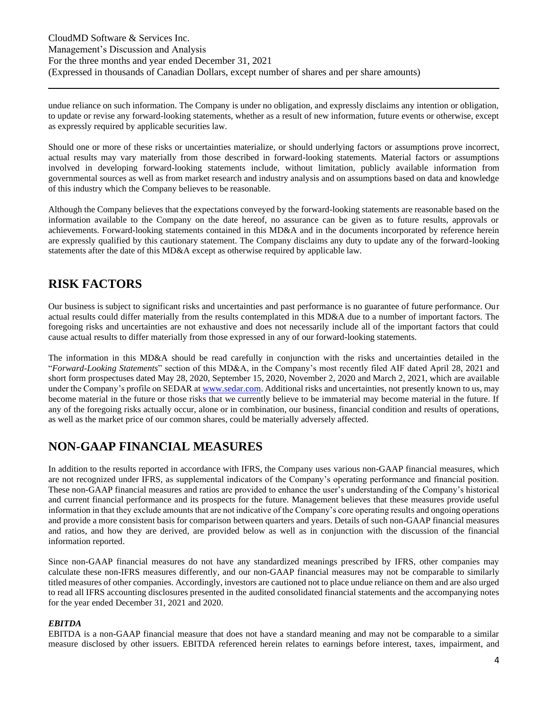undue reliance on such information. The Company is under no obligation, and expressly disclaims any intention or obligation, to update or revise any forward-looking statements, whether as a result of new information, future events or otherwise, except as expressly required by applicable securities law.

Should one or more of these risks or uncertainties materialize, or should underlying factors or assumptions prove incorrect, actual results may vary materially from those described in forward-looking statements. Material factors or assumptions involved in developing forward-looking statements include, without limitation, publicly available information from governmental sources as well as from market research and industry analysis and on assumptions based on data and knowledge of this industry which the Company believes to be reasonable.

Although the Company believes that the expectations conveyed by the forward-looking statements are reasonable based on the information available to the Company on the date hereof, no assurance can be given as to future results, approvals or achievements. Forward-looking statements contained in this MD&A and in the documents incorporated by reference herein are expressly qualified by this cautionary statement. The Company disclaims any duty to update any of the forward-looking statements after the date of this MD&A except as otherwise required by applicable law.

# <span id="page-3-0"></span>**RISK FACTORS**

Our business is subject to significant risks and uncertainties and past performance is no guarantee of future performance. Our actual results could differ materially from the results contemplated in this MD&A due to a number of important factors. The foregoing risks and uncertainties are not exhaustive and does not necessarily include all of the important factors that could cause actual results to differ materially from those expressed in any of our forward-looking statements.

The information in this MD&A should be read carefully in conjunction with the risks and uncertainties detailed in the "*Forward-Looking Statements*" section of this MD&A, in the Company's most recently filed AIF dated April 28, 2021 and short form prospectuses dated May 28, 2020, September 15, 2020, November 2, 2020 and March 2, 2021, which are available under the Company's profile on SEDAR a[t www.sedar.com.](http://www.sedar.com/) Additional risks and uncertainties, not presently known to us, may become material in the future or those risks that we currently believe to be immaterial may become material in the future. If any of the foregoing risks actually occur, alone or in combination, our business, financial condition and results of operations, as well as the market price of our common shares, could be materially adversely affected.

### **NON-GAAP FINANCIAL MEASURES**

In addition to the results reported in accordance with IFRS, the Company uses various non-GAAP financial measures, which are not recognized under IFRS, as supplemental indicators of the Company's operating performance and financial position. These non-GAAP financial measures and ratios are provided to enhance the user's understanding of the Company's historical and current financial performance and its prospects for the future. Management believes that these measures provide useful information in that they exclude amounts that are not indicative of the Company's core operating results and ongoing operations and provide a more consistent basis for comparison between quarters and years. Details of such non-GAAP financial measures and ratios, and how they are derived, are provided below as well as in conjunction with the discussion of the financial information reported.

Since non-GAAP financial measures do not have any standardized meanings prescribed by IFRS, other companies may calculate these non-IFRS measures differently, and our non-GAAP financial measures may not be comparable to similarly titled measures of other companies. Accordingly, investors are cautioned not to place undue reliance on them and are also urged to read all IFRS accounting disclosures presented in the audited consolidated financial statements and the accompanying notes for the year ended December 31, 2021 and 2020.

#### *EBITDA*

EBITDA is a non-GAAP financial measure that does not have a standard meaning and may not be comparable to a similar measure disclosed by other issuers. EBITDA referenced herein relates to earnings before interest, taxes, impairment, and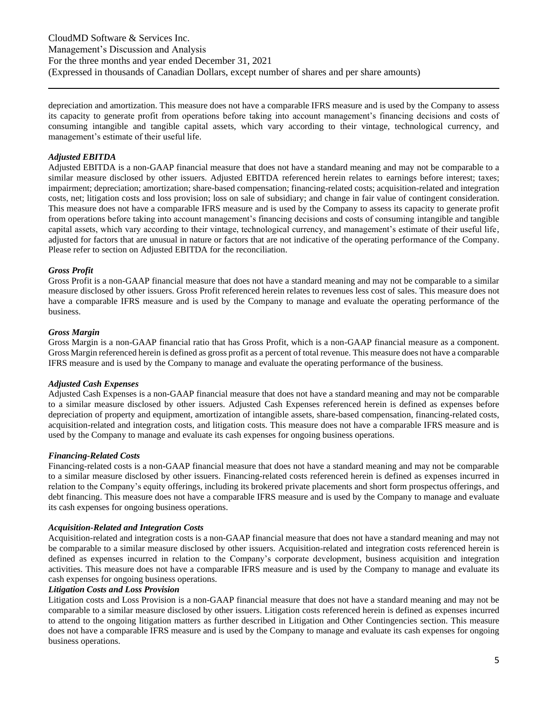depreciation and amortization. This measure does not have a comparable IFRS measure and is used by the Company to assess its capacity to generate profit from operations before taking into account management's financing decisions and costs of consuming intangible and tangible capital assets, which vary according to their vintage, technological currency, and management's estimate of their useful life.

#### *Adjusted EBITDA*

Adjusted EBITDA is a non-GAAP financial measure that does not have a standard meaning and may not be comparable to a similar measure disclosed by other issuers. Adjusted EBITDA referenced herein relates to earnings before interest; taxes; impairment; depreciation; amortization; share-based compensation; financing-related costs; acquisition-related and integration costs, net; litigation costs and loss provision; loss on sale of subsidiary; and change in fair value of contingent consideration. This measure does not have a comparable IFRS measure and is used by the Company to assess its capacity to generate profit from operations before taking into account management's financing decisions and costs of consuming intangible and tangible capital assets, which vary according to their vintage, technological currency, and management's estimate of their useful life, adjusted for factors that are unusual in nature or factors that are not indicative of the operating performance of the Company. Please refer to section on Adjusted EBITDA for the reconciliation.

#### *Gross Profit*

Gross Profit is a non-GAAP financial measure that does not have a standard meaning and may not be comparable to a similar measure disclosed by other issuers. Gross Profit referenced herein relates to revenues less cost of sales. This measure does not have a comparable IFRS measure and is used by the Company to manage and evaluate the operating performance of the business.

#### *Gross Margin*

Gross Margin is a non-GAAP financial ratio that has Gross Profit, which is a non-GAAP financial measure as a component. Gross Margin referenced herein is defined as gross profit as a percent of total revenue. This measure does not have a comparable IFRS measure and is used by the Company to manage and evaluate the operating performance of the business.

#### *Adjusted Cash Expenses*

Adjusted Cash Expenses is a non-GAAP financial measure that does not have a standard meaning and may not be comparable to a similar measure disclosed by other issuers. Adjusted Cash Expenses referenced herein is defined as expenses before depreciation of property and equipment, amortization of intangible assets, share-based compensation, financing-related costs, acquisition-related and integration costs, and litigation costs. This measure does not have a comparable IFRS measure and is used by the Company to manage and evaluate its cash expenses for ongoing business operations.

#### *Financing-Related Costs*

Financing-related costs is a non-GAAP financial measure that does not have a standard meaning and may not be comparable to a similar measure disclosed by other issuers. Financing-related costs referenced herein is defined as expenses incurred in relation to the Company's equity offerings, including its brokered private placements and short form prospectus offerings, and debt financing. This measure does not have a comparable IFRS measure and is used by the Company to manage and evaluate its cash expenses for ongoing business operations.

#### *Acquisition-Related and Integration Costs*

Acquisition-related and integration costs is a non-GAAP financial measure that does not have a standard meaning and may not be comparable to a similar measure disclosed by other issuers. Acquisition-related and integration costs referenced herein is defined as expenses incurred in relation to the Company's corporate development, business acquisition and integration activities. This measure does not have a comparable IFRS measure and is used by the Company to manage and evaluate its cash expenses for ongoing business operations.

### *Litigation Costs and Loss Provision*

Litigation costs and Loss Provision is a non-GAAP financial measure that does not have a standard meaning and may not be comparable to a similar measure disclosed by other issuers. Litigation costs referenced herein is defined as expenses incurred to attend to the ongoing litigation matters as further described in Litigation and Other Contingencies section. This measure does not have a comparable IFRS measure and is used by the Company to manage and evaluate its cash expenses for ongoing business operations.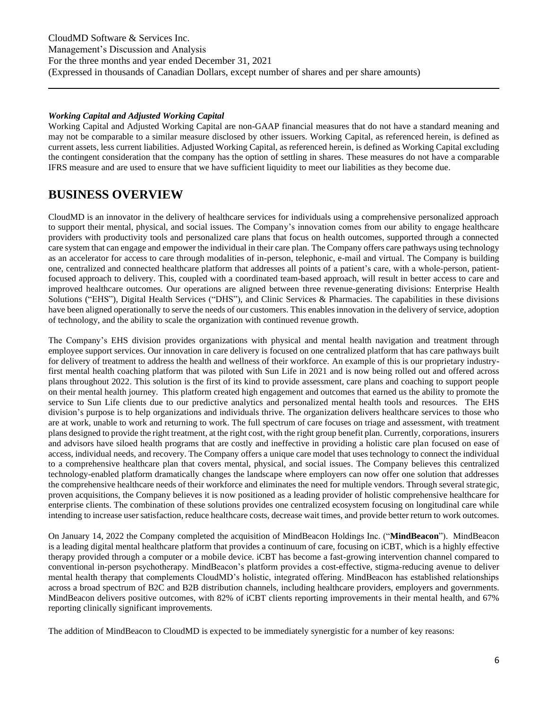#### *Working Capital and Adjusted Working Capital*

Working Capital and Adjusted Working Capital are non-GAAP financial measures that do not have a standard meaning and may not be comparable to a similar measure disclosed by other issuers. Working Capital, as referenced herein, is defined as current assets, less current liabilities. Adjusted Working Capital, as referenced herein, is defined as Working Capital excluding the contingent consideration that the company has the option of settling in shares. These measures do not have a comparable IFRS measure and are used to ensure that we have sufficient liquidity to meet our liabilities as they become due.

### **BUSINESS OVERVIEW**

CloudMD is an innovator in the delivery of healthcare services for individuals using a comprehensive personalized approach to support their mental, physical, and social issues. The Company's innovation comes from our ability to engage healthcare providers with productivity tools and personalized care plans that focus on health outcomes, supported through a connected care system that can engage and empower the individual in their care plan. The Company offers care pathways using technology as an accelerator for access to care through modalities of in-person, telephonic, e-mail and virtual. The Company is building one, centralized and connected healthcare platform that addresses all points of a patient's care, with a whole-person, patientfocused approach to delivery. This, coupled with a coordinated team-based approach, will result in better access to care and improved healthcare outcomes. Our operations are aligned between three revenue-generating divisions: Enterprise Health Solutions ("EHS"), Digital Health Services ("DHS"), and Clinic Services & Pharmacies. The capabilities in these divisions have been aligned operationally to serve the needs of our customers. This enables innovation in the delivery of service, adoption of technology, and the ability to scale the organization with continued revenue growth.

The Company's EHS division provides organizations with physical and mental health navigation and treatment through employee support services. Our innovation in care delivery is focused on one centralized platform that has care pathways built for delivery of treatment to address the health and wellness of their workforce. An example of this is our proprietary industryfirst mental health coaching platform that was piloted with Sun Life in 2021 and is now being rolled out and offered across plans throughout 2022. This solution is the first of its kind to provide assessment, care plans and coaching to support people on their mental health journey. This platform created high engagement and outcomes that earned us the ability to promote the service to Sun Life clients due to our predictive analytics and personalized mental health tools and resources. The EHS division's purpose is to help organizations and individuals thrive. The organization delivers healthcare services to those who are at work, unable to work and returning to work. The full spectrum of care focuses on triage and assessment, with treatment plans designed to provide the right treatment, at the right cost, with the right group benefit plan. Currently, corporations, insurers and advisors have siloed health programs that are costly and ineffective in providing a holistic care plan focused on ease of access, individual needs, and recovery. The Company offers a unique care model that uses technology to connect the individual to a comprehensive healthcare plan that covers mental, physical, and social issues. The Company believes this centralized technology-enabled platform dramatically changes the landscape where employers can now offer one solution that addresses the comprehensive healthcare needs of their workforce and eliminates the need for multiple vendors. Through several strategic, proven acquisitions, the Company believes it is now positioned as a leading provider of holistic comprehensive healthcare for enterprise clients. The combination of these solutions provides one centralized ecosystem focusing on longitudinal care while intending to increase user satisfaction, reduce healthcare costs, decrease wait times, and provide better return to work outcomes.

On January 14, 2022 the Company completed the acquisition of MindBeacon Holdings Inc. ("**MindBeacon**"). MindBeacon is a leading digital mental healthcare platform that provides a continuum of care, focusing on iCBT, which is a highly effective therapy provided through a computer or a mobile device. iCBT has become a fast-growing intervention channel compared to conventional in-person psychotherapy. MindBeacon's platform provides a cost-effective, stigma-reducing avenue to deliver mental health therapy that complements CloudMD's holistic, integrated offering. MindBeacon has established relationships across a broad spectrum of B2C and B2B distribution channels, including healthcare providers, employers and governments. MindBeacon delivers positive outcomes, with 82% of iCBT clients reporting improvements in their mental health, and 67% reporting clinically significant improvements.

The addition of MindBeacon to CloudMD is expected to be immediately synergistic for a number of key reasons: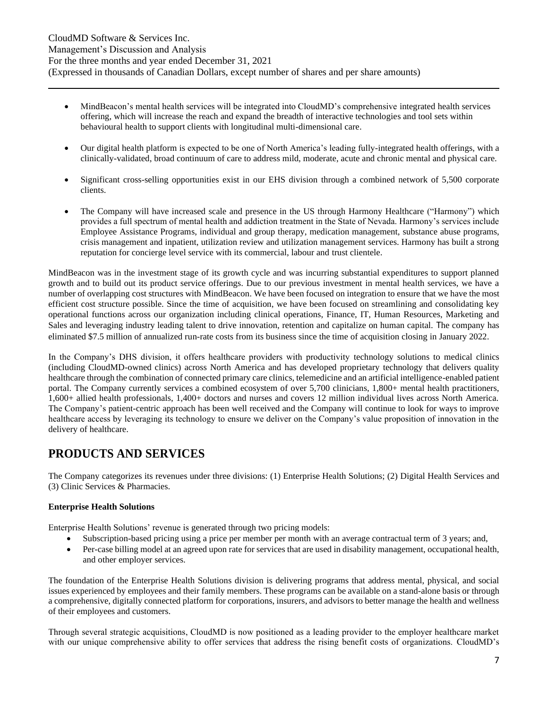- MindBeacon's mental health services will be integrated into CloudMD's comprehensive integrated health services offering, which will increase the reach and expand the breadth of interactive technologies and tool sets within behavioural health to support clients with longitudinal multi-dimensional care.
- Our digital health platform is expected to be one of North America's leading fully-integrated health offerings, with a clinically-validated, broad continuum of care to address mild, moderate, acute and chronic mental and physical care.
- Significant cross-selling opportunities exist in our EHS division through a combined network of 5,500 corporate clients.
- The Company will have increased scale and presence in the US through Harmony Healthcare ("Harmony") which provides a full spectrum of mental health and addiction treatment in the State of Nevada. Harmony's services include Employee Assistance Programs, individual and group therapy, medication management, substance abuse programs, crisis management and inpatient, utilization review and utilization management services. Harmony has built a strong reputation for concierge level service with its commercial, labour and trust clientele.

MindBeacon was in the investment stage of its growth cycle and was incurring substantial expenditures to support planned growth and to build out its product service offerings. Due to our previous investment in mental health services, we have a number of overlapping cost structures with MindBeacon. We have been focused on integration to ensure that we have the most efficient cost structure possible. Since the time of acquisition, we have been focused on streamlining and consolidating key operational functions across our organization including clinical operations, Finance, IT, Human Resources, Marketing and Sales and leveraging industry leading talent to drive innovation, retention and capitalize on human capital. The company has eliminated \$7.5 million of annualized run-rate costs from its business since the time of acquisition closing in January 2022.

In the Company's DHS division, it offers healthcare providers with productivity technology solutions to medical clinics (including CloudMD-owned clinics) across North America and has developed proprietary technology that delivers quality healthcare through the combination of connected primary care clinics, telemedicine and an artificial intelligence-enabled patient portal. The Company currently services a combined ecosystem of over 5,700 clinicians, 1,800+ mental health practitioners, 1,600+ allied health professionals, 1,400+ doctors and nurses and covers 12 million individual lives across North America. The Company's patient-centric approach has been well received and the Company will continue to look for ways to improve healthcare access by leveraging its technology to ensure we deliver on the Company's value proposition of innovation in the delivery of healthcare.

# **PRODUCTS AND SERVICES**

The Company categorizes its revenues under three divisions: (1) Enterprise Health Solutions; (2) Digital Health Services and (3) Clinic Services & Pharmacies.

### **Enterprise Health Solutions**

Enterprise Health Solutions' revenue is generated through two pricing models:

- Subscription-based pricing using a price per member per month with an average contractual term of 3 years; and,
- Per-case billing model at an agreed upon rate for services that are used in disability management, occupational health, and other employer services.

The foundation of the Enterprise Health Solutions division is delivering programs that address mental, physical, and social issues experienced by employees and their family members. These programs can be available on a stand-alone basis or through a comprehensive, digitally connected platform for corporations, insurers, and advisors to better manage the health and wellness of their employees and customers.

Through several strategic acquisitions, CloudMD is now positioned as a leading provider to the employer healthcare market with our unique comprehensive ability to offer services that address the rising benefit costs of organizations. CloudMD's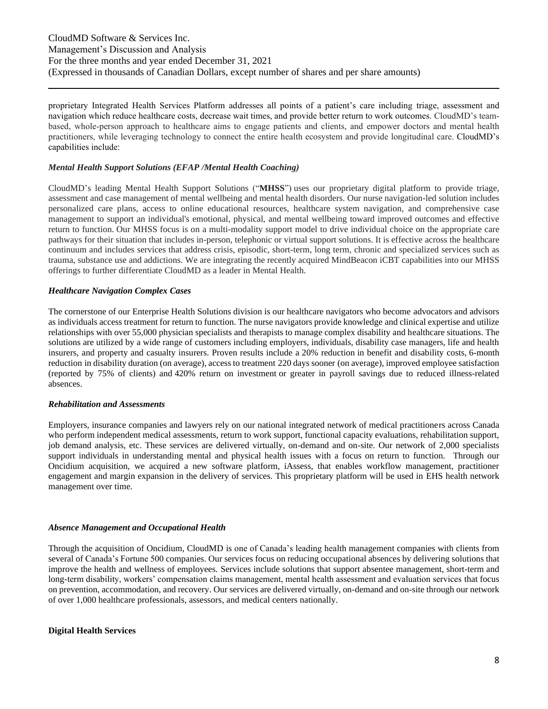proprietary Integrated Health Services Platform addresses all points of a patient's care including triage, assessment and navigation which reduce healthcare costs, decrease wait times, and provide better return to work outcomes. CloudMD's teambased, whole-person approach to healthcare aims to engage patients and clients, and empower doctors and mental health practitioners, while leveraging technology to connect the entire health ecosystem and provide longitudinal care. CloudMD's capabilities include:

#### *Mental Health Support Solutions (EFAP /Mental Health Coaching)*

CloudMD's leading Mental Health Support Solutions ("**MHSS**") uses our proprietary digital platform to provide triage, assessment and case management of mental wellbeing and mental health disorders. Our nurse navigation-led solution includes personalized care plans, access to online educational resources, healthcare system navigation, and comprehensive case management to support an individual's emotional, physical, and mental wellbeing toward improved outcomes and effective return to function. Our MHSS focus is on a multi-modality support model to drive individual choice on the appropriate care pathways for their situation that includes in-person, telephonic or virtual support solutions. It is effective across the healthcare continuum and includes services that address crisis, episodic, short-term, long term, chronic and specialized services such as trauma, substance use and addictions. We are integrating the recently acquired MindBeacon iCBT capabilities into our MHSS offerings to further differentiate CloudMD as a leader in Mental Health.

#### *Healthcare Navigation Complex Cases*

The cornerstone of our Enterprise Health Solutions division is our healthcare navigators who become advocators and advisors as individuals access treatment for return to function. The nurse navigators provide knowledge and clinical expertise and utilize relationships with over 55,000 physician specialists and therapists to manage complex disability and healthcare situations. The solutions are utilized by a wide range of customers including employers, individuals, disability case managers, life and health insurers, and property and casualty insurers. Proven results include a 20% reduction in benefit and disability costs, 6-month reduction in disability duration (on average), access to treatment 220 days sooner (on average), improved employee satisfaction (reported by 75% of clients) and 420% return on investment or greater in payroll savings due to reduced illness-related absences.

#### *Rehabilitation and Assessments*

Employers, insurance companies and lawyers rely on our national integrated network of medical practitioners across Canada who perform independent medical assessments, return to work support, functional capacity evaluations, rehabilitation support, job demand analysis, etc. These services are delivered virtually, on-demand and on-site. Our network of 2,000 specialists support individuals in understanding mental and physical health issues with a focus on return to function. Through our Oncidium acquisition, we acquired a new software platform, iAssess, that enables workflow management, practitioner engagement and margin expansion in the delivery of services. This proprietary platform will be used in EHS health network management over time.

#### *Absence Management and Occupational Health*

Through the acquisition of Oncidium, CloudMD is one of Canada's leading health management companies with clients from several of Canada's Fortune 500 companies. Our services focus on reducing occupational absences by delivering solutions that improve the health and wellness of employees. Services include solutions that support absentee management, short-term and long-term disability, workers' compensation claims management, mental health assessment and evaluation services that focus on prevention, accommodation, and recovery. Our services are delivered virtually, on-demand and on-site through our network of over 1,000 healthcare professionals, assessors, and medical centers nationally.

#### **Digital Health Services**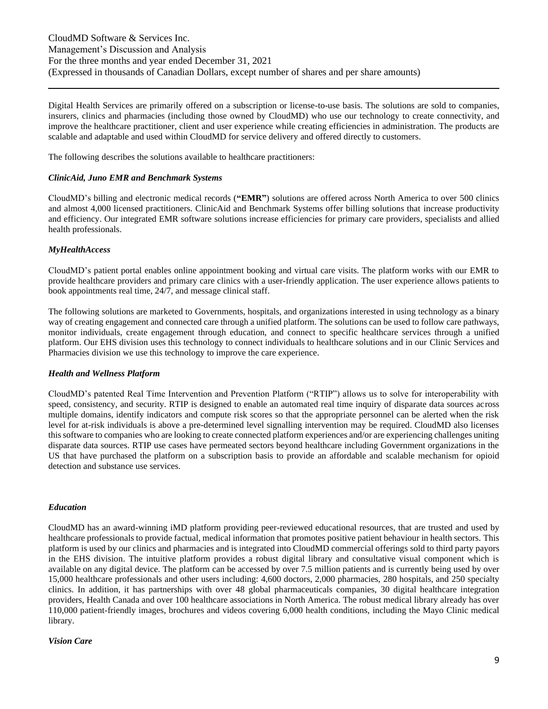Digital Health Services are primarily offered on a subscription or license-to-use basis. The solutions are sold to companies, insurers, clinics and pharmacies (including those owned by CloudMD) who use our technology to create connectivity, and improve the healthcare practitioner, client and user experience while creating efficiencies in administration. The products are scalable and adaptable and used within CloudMD for service delivery and offered directly to customers.

The following describes the solutions available to healthcare practitioners:

#### *ClinicAid, Juno EMR and Benchmark Systems*

CloudMD's billing and electronic medical records (**"EMR"**) solutions are offered across North America to over 500 clinics and almost 4,000 licensed practitioners. ClinicAid and Benchmark Systems offer billing solutions that increase productivity and efficiency. Our integrated EMR software solutions increase efficiencies for primary care providers, specialists and allied health professionals.

#### *MyHealthAccess*

CloudMD's patient portal enables online appointment booking and virtual care visits. The platform works with our EMR to provide healthcare providers and primary care clinics with a user-friendly application. The user experience allows patients to book appointments real time, 24/7, and message clinical staff.

The following solutions are marketed to Governments, hospitals, and organizations interested in using technology as a binary way of creating engagement and connected care through a unified platform. The solutions can be used to follow care pathways, monitor individuals, create engagement through education, and connect to specific healthcare services through a unified platform. Our EHS division uses this technology to connect individuals to healthcare solutions and in our Clinic Services and Pharmacies division we use this technology to improve the care experience.

#### *Health and Wellness Platform*

CloudMD's patented Real Time Intervention and Prevention Platform ("RTIP") allows us to solve for interoperability with speed, consistency, and security. RTIP is designed to enable an automated real time inquiry of disparate data sources across multiple domains, identify indicators and compute risk scores so that the appropriate personnel can be alerted when the risk level for at-risk individuals is above a pre-determined level signalling intervention may be required. CloudMD also licenses this software to companies who are looking to create connected platform experiences and/or are experiencing challenges uniting disparate data sources. RTIP use cases have permeated sectors beyond healthcare including Government organizations in the US that have purchased the platform on a subscription basis to provide an affordable and scalable mechanism for opioid detection and substance use services.

#### *Education*

CloudMD has an award-winning iMD platform providing peer-reviewed educational resources, that are trusted and used by healthcare professionals to provide factual, medical information that promotes positive patient behaviour in health sectors. This platform is used by our clinics and pharmacies and is integrated into CloudMD commercial offerings sold to third party payors in the EHS division. The intuitive platform provides a robust digital library and consultative visual component which is available on any digital device. The platform can be accessed by over 7.5 million patients and is currently being used by over 15,000 healthcare professionals and other users including: 4,600 doctors, 2,000 pharmacies, 280 hospitals, and 250 specialty clinics. In addition, it has partnerships with over 48 global pharmaceuticals companies, 30 digital healthcare integration providers, Health Canada and over 100 healthcare associations in North America. The robust medical library already has over 110,000 patient-friendly images, brochures and videos covering 6,000 health conditions, including the Mayo Clinic medical library.

#### *Vision Care*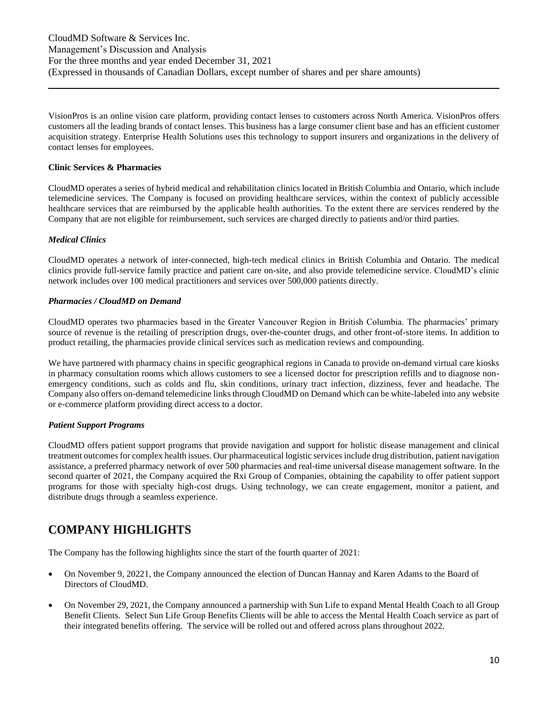VisionPros is an online vision care platform, providing contact lenses to customers across North America. VisionPros offers customers all the leading brands of contact lenses. This business has a large consumer client base and has an efficient customer acquisition strategy. Enterprise Health Solutions uses this technology to support insurers and organizations in the delivery of contact lenses for employees.

#### **Clinic Services & Pharmacies**

CloudMD operates a series of hybrid medical and rehabilitation clinics located in British Columbia and Ontario, which include telemedicine services. The Company is focused on providing healthcare services, within the context of publicly accessible healthcare services that are reimbursed by the applicable health authorities. To the extent there are services rendered by the Company that are not eligible for reimbursement, such services are charged directly to patients and/or third parties.

### *Medical Clinics*

CloudMD operates a network of inter-connected, high-tech medical clinics in British Columbia and Ontario. The medical clinics provide full-service family practice and patient care on-site, and also provide telemedicine service. CloudMD's clinic network includes over 100 medical practitioners and services over 500,000 patients directly.

#### *Pharmacies / CloudMD on Demand*

CloudMD operates two pharmacies based in the Greater Vancouver Region in British Columbia. The pharmacies' primary source of revenue is the retailing of prescription drugs, over-the-counter drugs, and other front-of-store items. In addition to product retailing, the pharmacies provide clinical services such as medication reviews and compounding.

We have partnered with pharmacy chains in specific geographical regions in Canada to provide on-demand virtual care kiosks in pharmacy consultation rooms which allows customers to see a licensed doctor for prescription refills and to diagnose nonemergency conditions, such as colds and flu, skin conditions, urinary tract infection, dizziness, fever and headache. The Company also offers on-demand telemedicine links through CloudMD on Demand which can be white-labeled into any website or e-commerce platform providing direct access to a doctor.

### *Patient Support Programs*

CloudMD offers patient support programs that provide navigation and support for holistic disease management and clinical treatment outcomes for complex health issues. Our pharmaceutical logistic services include drug distribution, patient navigation assistance, a preferred pharmacy network of over 500 pharmacies and real-time universal disease management software. In the second quarter of 2021, the Company acquired the Rxi Group of Companies, obtaining the capability to offer patient support programs for those with specialty high-cost drugs. Using technology, we can create engagement, monitor a patient, and distribute drugs through a seamless experience.

# **COMPANY HIGHLIGHTS**

The Company has the following highlights since the start of the fourth quarter of 2021:

- On November 9, 20221, the Company announced the election of Duncan Hannay and Karen Adams to the Board of Directors of CloudMD.
- On November 29, 2021, the Company announced a partnership with Sun Life to expand Mental Health Coach to all Group Benefit Clients. Select Sun Life Group Benefits Clients will be able to access the Mental Health Coach service as part of their integrated benefits offering. The service will be rolled out and offered across plans throughout 2022.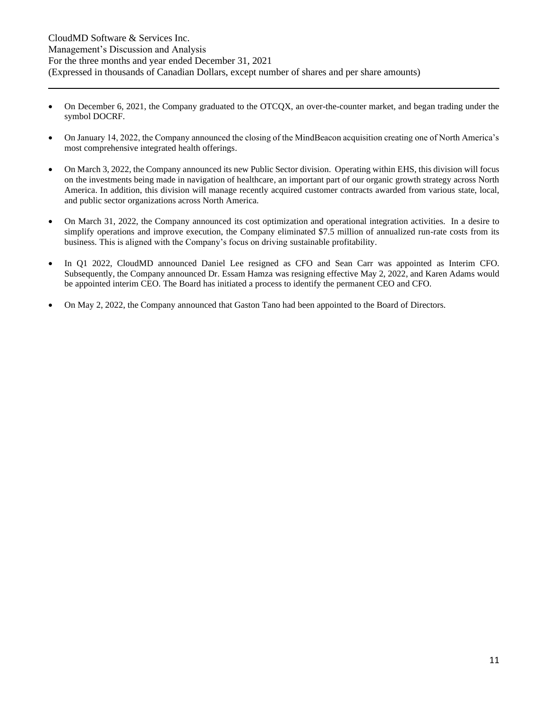- On December 6, 2021, the Company graduated to the OTCQX, an over-the-counter market, and began trading under the symbol DOCRF.
- On January 14, 2022, the Company announced the closing of the MindBeacon acquisition creating one of North America's most comprehensive integrated health offerings.
- On March 3, 2022, the Company announced its new Public Sector division. Operating within EHS, this division will focus on the investments being made in navigation of healthcare, an important part of our organic growth strategy across North America. In addition, this division will manage recently acquired customer contracts awarded from various state, local, and public sector organizations across North America.
- On March 31, 2022, the Company announced its cost optimization and operational integration activities. In a desire to simplify operations and improve execution, the Company eliminated \$7.5 million of annualized run-rate costs from its business. This is aligned with the Company's focus on driving sustainable profitability.
- In Q1 2022, CloudMD announced Daniel Lee resigned as CFO and Sean Carr was appointed as Interim CFO. Subsequently, the Company announced Dr. Essam Hamza was resigning effective May 2, 2022, and Karen Adams would be appointed interim CEO. The Board has initiated a process to identify the permanent CEO and CFO.
- On May 2, 2022, the Company announced that Gaston Tano had been appointed to the Board of Directors.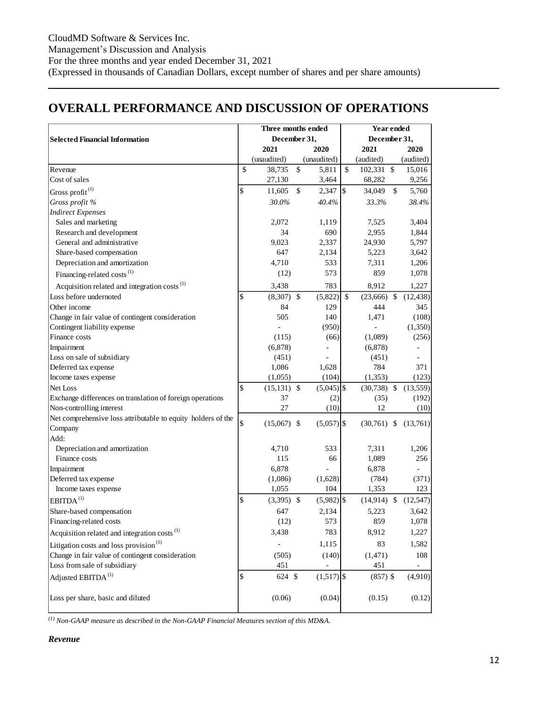# **OVERALL PERFORMANCE AND DISCUSSION OF OPERATIONS**

|                                                              | Three months ended  |               |              | Year ended |               |                    |           |  |
|--------------------------------------------------------------|---------------------|---------------|--------------|------------|---------------|--------------------|-----------|--|
| <b>Selected Financial Information</b>                        | December 31,        |               |              |            | December 31,  |                    |           |  |
|                                                              | 2021                |               | 2020         |            | 2021          |                    | 2020      |  |
|                                                              | (unaudited)         |               | (unaudited)  |            | (audited)     |                    | (audited) |  |
| Revenue                                                      | \$<br>38,735        | \$            | 5,811        | \$         | 102,331 \$    |                    | 15,016    |  |
| Cost of sales                                                | 27,130              |               | 3,464        |            | 68,282        |                    | 9,256     |  |
| Gross profit <sup>(1)</sup>                                  | \$<br>11,605        | $\mathcal{S}$ | 2,347        | \$         | 34,049        | $\mathbf{\hat{S}}$ | 5,760     |  |
| Gross profit %                                               | 30.0%               |               | 40.4%        |            | 33.3%         |                    | 38.4%     |  |
| <b>Indirect Expenses</b>                                     |                     |               |              |            |               |                    |           |  |
| Sales and marketing                                          | 2,072               |               | 1,119        |            | 7,525         |                    | 3,404     |  |
| Research and development                                     | 34                  |               | 690          |            | 2,955         |                    | 1,844     |  |
| General and administrative                                   | 9,023               |               | 2,337        |            | 24,930        |                    | 5,797     |  |
| Share-based compensation                                     | 647                 |               | 2,134        |            | 5,223         |                    | 3,642     |  |
| Depreciation and amortization                                | 4,710               |               | 533          |            | 7,311         |                    | 1,206     |  |
| Financing-related costs <sup>(1)</sup>                       | (12)                |               | 573          |            | 859           |                    | 1,078     |  |
| Acquisition related and integration costs <sup>(1)</sup>     | 3,438               |               | 783          |            | 8,912         |                    | 1,227     |  |
| Loss before undernoted                                       | \$<br>$(8,307)$ \$  |               | (5,822)      | \$         | $(23,666)$ \$ |                    | (12, 438) |  |
| Other income                                                 | 84                  |               | 129          |            | 444           |                    | 345       |  |
| Change in fair value of contingent consideration             | 505                 |               | 140          |            | 1,471         |                    | (108)     |  |
| Contingent liability expense                                 |                     |               | (950)        |            |               |                    | (1,350)   |  |
| Finance costs                                                | (115)               |               | (66)         |            | (1,089)       |                    | (256)     |  |
| Impairment                                                   | (6,878)             |               |              |            | (6,878)       |                    |           |  |
| Loss on sale of subsidiary                                   | (451)               |               |              |            | (451)         |                    | ÷,        |  |
| Deferred tax expense                                         | 1,086               |               | 1,628        |            | 784           |                    | 371       |  |
| Income taxes expense                                         | (1,055)             |               | (104)        |            | (1, 353)      |                    | (123)     |  |
| Net Loss                                                     | \$<br>$(15,131)$ \$ |               | $(5,045)$ \$ |            | $(30,738)$ \$ |                    | (13, 559) |  |
| Exchange differences on translation of foreign operations    | 37                  |               | (2)          |            | (35)          |                    | (192)     |  |
| Non-controlling interest                                     | 27                  |               | (10)         |            | 12            |                    | (10)      |  |
| Net comprehensive loss attributable to equity holders of the | \$<br>$(15,067)$ \$ |               | $(5,057)$ \$ |            | $(30,761)$ \$ |                    | (13,761)  |  |
| Company                                                      |                     |               |              |            |               |                    |           |  |
| Add:                                                         |                     |               |              |            |               |                    |           |  |
| Depreciation and amortization                                | 4,710               |               | 533          |            | 7,311         |                    | 1,206     |  |
| Finance costs                                                | 115                 |               | 66           |            | 1,089         |                    | 256       |  |
| Impairment                                                   | 6,878               |               |              |            | 6,878         |                    |           |  |
| Deferred tax expense                                         | (1,086)             |               | (1,628)      |            | (784)         |                    | (371)     |  |
| Income taxes expense                                         | 1,055               |               | 104          |            | 1,353         |                    | 123       |  |
| EBITDA <sup>(1)</sup>                                        | \$<br>$(3,395)$ \$  |               | $(5,982)$ \$ |            | $(14,914)$ \$ |                    | (12, 547) |  |
| Share-based compensation                                     | 647                 |               | 2,134        |            | 5,223         |                    | 3,642     |  |
| Financing-related costs                                      | (12)                |               | 573          |            | 859           |                    | 1,078     |  |
| Acquisition related and integration costs <sup>(1)</sup>     | 3,438               |               | 783          |            | 8,912         |                    | 1,227     |  |
| Litigation costs and loss provision <sup>(1)</sup>           |                     |               | 1,115        |            | 83            |                    | 1,582     |  |
| Change in fair value of contingent consideration             | (505)               |               | (140)        |            | (1, 471)      |                    | 108       |  |
| Loss from sale of subsidiary                                 | 451                 |               |              |            | 451           |                    |           |  |
| Adjusted EBITDA <sup>(1)</sup>                               | \$<br>624 \$        |               | $(1,517)$ \$ |            | $(857)$ \$    |                    | (4,910)   |  |
| Loss per share, basic and diluted                            | (0.06)              |               | (0.04)       |            | (0.15)        |                    | (0.12)    |  |

*(1) Non-GAAP measure as described in the Non-GAAP Financial Measures section of this MD&A.*

### *Revenue*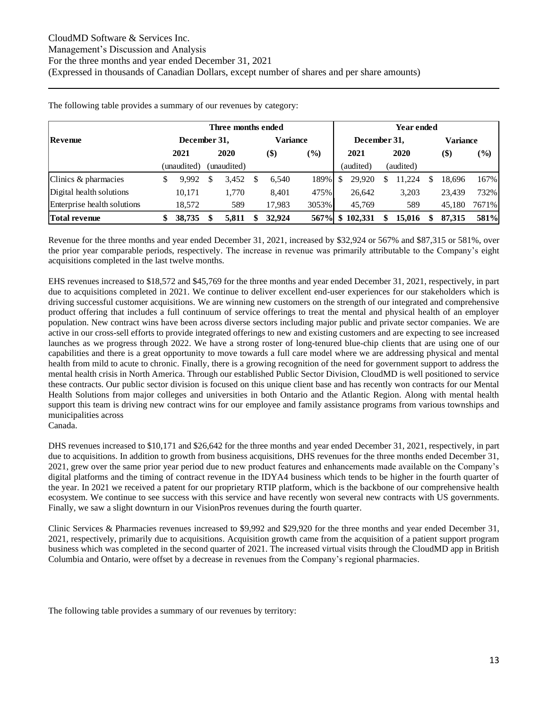|                             | Year ended   |             |    |          |               |  |              |    |            |   |                 |        |
|-----------------------------|--------------|-------------|----|----------|---------------|--|--------------|----|------------|---|-----------------|--------|
| Revenue                     | December 31, |             |    | Variance |               |  | December 31, |    |            |   | <b>Variance</b> |        |
|                             | 2021         | 2020        |    | \$)      | $\frac{1}{2}$ |  | 2021         |    | 2020       |   | \$)             | $(\%)$ |
|                             | (unaudited)  | (unaudited) |    |          |               |  | (audited)    |    | (audited)  |   |                 |        |
| Clinics & pharmacies        | 9.992        | 3,452       | S. | 6,540    | 189%          |  | 29.920       |    | .224<br>-1 | S | 18,696          | 167%   |
| Digital health solutions    | 10.171       | 1.770       |    | 8,401    | 475%          |  | 26.642       |    | 3,203      |   | 23.439          | 732%   |
| Enterprise health solutions | 18.572       | 589         |    | 17,983   | 3053%         |  | 45,769       |    | 589        |   | 45.180          | 7671%  |
| <b>Total revenue</b>        | 38,735       | 5.811       |    | 32.924   | 567%          |  | \$102.331    | \$ | 15.016     |   | 87.315          | 581%   |

The following table provides a summary of our revenues by category:

Revenue for the three months and year ended December 31, 2021, increased by \$32,924 or 567% and \$87,315 or 581%, over the prior year comparable periods, respectively. The increase in revenue was primarily attributable to the Company's eight acquisitions completed in the last twelve months.

EHS revenues increased to \$18,572 and \$45,769 for the three months and year ended December 31, 2021, respectively, in part due to acquisitions completed in 2021. We continue to deliver excellent end-user experiences for our stakeholders which is driving successful customer acquisitions. We are winning new customers on the strength of our integrated and comprehensive product offering that includes a full continuum of service offerings to treat the mental and physical health of an employer population. New contract wins have been across diverse sectors including major public and private sector companies. We are active in our cross-sell efforts to provide integrated offerings to new and existing customers and are expecting to see increased launches as we progress through 2022. We have a strong roster of long-tenured blue-chip clients that are using one of our capabilities and there is a great opportunity to move towards a full care model where we are addressing physical and mental health from mild to acute to chronic. Finally, there is a growing recognition of the need for government support to address the mental health crisis in North America. Through our established Public Sector Division, CloudMD is well positioned to service these contracts. Our public sector division is focused on this unique client base and has recently won contracts for our Mental Health Solutions from major colleges and universities in both Ontario and the Atlantic Region. Along with mental health support this team is driving new contract wins for our employee and family assistance programs from various townships and municipalities across

Canada.

DHS revenues increased to \$10,171 and \$26,642 for the three months and year ended December 31, 2021, respectively, in part due to acquisitions. In addition to growth from business acquisitions, DHS revenues for the three months ended December 31, 2021, grew over the same prior year period due to new product features and enhancements made available on the Company's digital platforms and the timing of contract revenue in the IDYA4 business which tends to be higher in the fourth quarter of the year. In 2021 we received a patent for our proprietary RTIP platform, which is the backbone of our comprehensive health ecosystem. We continue to see success with this service and have recently won several new contracts with US governments. Finally, we saw a slight downturn in our VisionPros revenues during the fourth quarter.

Clinic Services & Pharmacies revenues increased to \$9,992 and \$29,920 for the three months and year ended December 31, 2021, respectively, primarily due to acquisitions. Acquisition growth came from the acquisition of a patient support program business which was completed in the second quarter of 2021. The increased virtual visits through the CloudMD app in British Columbia and Ontario, were offset by a decrease in revenues from the Company's regional pharmacies.

The following table provides a summary of our revenues by territory: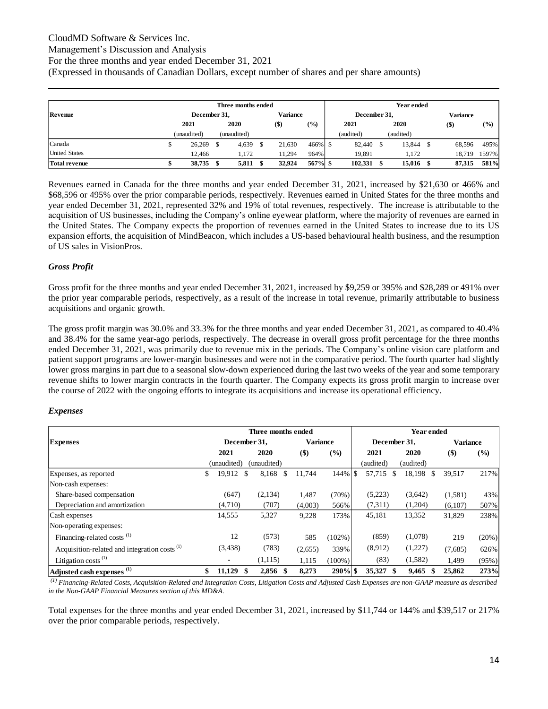### CloudMD Software & Services Inc.

### Management's Discussion and Analysis

For the three months and year ended December 31, 2021

(Expressed in thousands of Canadian Dollars, except number of shares and per share amounts)

|                      | Year ended |              |  |             |  |          |         |  |              |  |           |  |          |       |
|----------------------|------------|--------------|--|-------------|--|----------|---------|--|--------------|--|-----------|--|----------|-------|
| Revenue              |            | December 31, |  |             |  | Variance |         |  | December 31, |  |           |  | Variance |       |
|                      |            | 2021         |  | 2020        |  | $($)$    | (%)     |  | 2021         |  | 2020      |  | $($ \$)  | (%)   |
|                      |            | (unaudited)  |  | (unaudited) |  |          |         |  | (audited)    |  | (audited) |  |          |       |
| Canada               | ъ          | 26,269       |  | 4,639       |  | 21,630   | 466% \$ |  | 82,440       |  | 13,844    |  | 68,596   | 495%  |
| <b>United States</b> |            | 12.466       |  | 1.172       |  | 11.294   | 964%    |  | 19.891       |  | 1.172     |  | 18.719   | 1597% |
| <b>Total revenue</b> |            | 38,735       |  | 5,811       |  | 32.924   | 567% \$ |  | 102,331      |  | 15,016    |  | 87.315   | 581%  |

Revenues earned in Canada for the three months and year ended December 31, 2021, increased by \$21,630 or 466% and \$68,596 or 495% over the prior comparable periods, respectively. Revenues earned in United States for the three months and year ended December 31, 2021, represented 32% and 19% of total revenues, respectively. The increase is attributable to the acquisition of US businesses, including the Company's online eyewear platform, where the majority of revenues are earned in the United States. The Company expects the proportion of revenues earned in the United States to increase due to its US expansion efforts, the acquisition of MindBeacon, which includes a US-based behavioural health business, and the resumption of US sales in VisionPros.

### *Gross Profit*

Gross profit for the three months and year ended December 31, 2021, increased by \$9,259 or 395% and \$28,289 or 491% over the prior year comparable periods, respectively, as a result of the increase in total revenue, primarily attributable to business acquisitions and organic growth.

The gross profit margin was 30.0% and 33.3% for the three months and year ended December 31, 2021, as compared to 40.4% and 38.4% for the same year-ago periods, respectively. The decrease in overall gross profit percentage for the three months ended December 31, 2021, was primarily due to revenue mix in the periods. The Company's online vision care platform and patient support programs are lower-margin businesses and were not in the comparative period. The fourth quarter had slightly lower gross margins in part due to a seasonal slow-down experienced during the last two weeks of the year and some temporary revenue shifts to lower margin contracts in the fourth quarter. The Company expects its gross profit margin to increase over the course of 2022 with the ongoing efforts to integrate its acquisitions and increase its operational efficiency.

#### *Expenses*

|                                                          |                 | Three months ended    |                 |           | Year ended |              |           |                 |        |  |  |  |
|----------------------------------------------------------|-----------------|-----------------------|-----------------|-----------|------------|--------------|-----------|-----------------|--------|--|--|--|
| <b>Expenses</b>                                          | December 31,    |                       | <b>Variance</b> |           |            | December 31, |           | <b>Variance</b> |        |  |  |  |
|                                                          | 2021            | 2020                  | \$)             | (%)       |            | 2021         | 2020      | $($)$           | $(\%)$ |  |  |  |
|                                                          | (unaudited)     | (unaudited)           |                 |           |            | (audited)    | (audited) |                 |        |  |  |  |
| Expenses, as reported                                    | \$<br>19,912 \$ | 8,168<br><sup>S</sup> | 11,744          |           |            | 57,715<br>-S | 18,198 \$ | 39,517          | 217%   |  |  |  |
| Non-cash expenses:                                       |                 |                       |                 |           |            |              |           |                 |        |  |  |  |
| Share-based compensation                                 | (647)           | (2,134)               | 1,487           | (70%)     |            | (5,223)      | (3,642)   | (1,581)         | 43%    |  |  |  |
| Depreciation and amortization                            | (4,710)         | (707)                 | (4,003)         | 566%      |            | (7,311)      | (1,204)   | (6,107)         | 507%   |  |  |  |
| Cash expenses                                            | 14,555          | 5,327                 | 9,228           | 173%      |            | 45,181       | 13,352    | 31,829          | 238%   |  |  |  |
| Non-operating expenses:                                  |                 |                       |                 |           |            |              |           |                 |        |  |  |  |
| Financing-related costs <sup>(1)</sup>                   | 12              | (573)                 | 585             | $(102\%)$ |            | (859)        | (1,078)   | 219             | (20%)  |  |  |  |
| Acquisition-related and integration costs <sup>(1)</sup> | (3,438)         | (783)                 | (2,655)         | 339%      |            | (8,912)      | (1,227)   | (7,685)         | 626%   |  |  |  |
| Litigation costs <sup>(1)</sup>                          |                 | (1,115)               | 1,115           | $(100\%)$ |            | (83)         | (1,582)   | 1,499           | (95%)  |  |  |  |
| Adjusted cash expenses <sup>(1)</sup>                    | \$<br>11,129    | 2,856<br>-\$          | 8,273           | 290% \$   |            | 35,327<br>\$ | 9,465     | 25,862          | 273%   |  |  |  |

*(1) Financing-Related Costs, Acquisition-Related and Integration Costs, Litigation Costs and Adjusted Cash Expenses are non-GAAP measure as described in the Non-GAAP Financial Measures section of this MD&A.*

Total expenses for the three months and year ended December 31, 2021, increased by \$11,744 or 144% and \$39,517 or 217% over the prior comparable periods, respectively.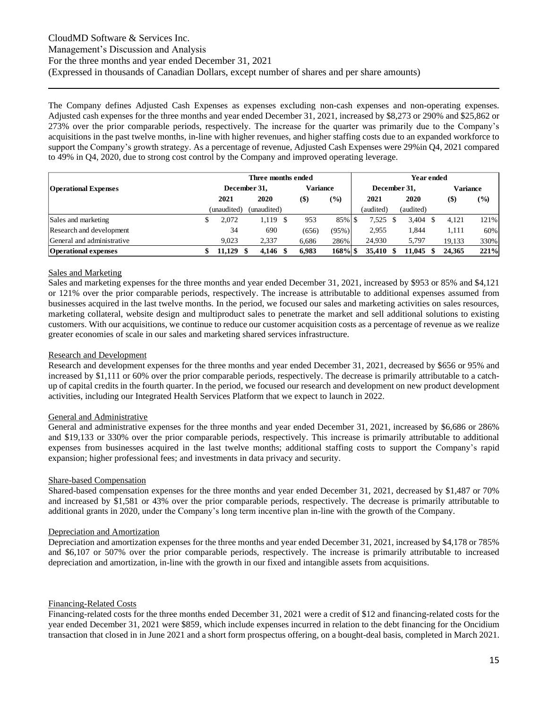The Company defines Adjusted Cash Expenses as expenses excluding non-cash expenses and non-operating expenses. Adjusted cash expenses for the three months and year ended December 31, 2021, increased by \$8,273 or 290% and \$25,862 or 273% over the prior comparable periods, respectively. The increase for the quarter was primarily due to the Company's acquisitions in the past twelve months, in-line with higher revenues, and higher staffing costs due to an expanded workforce to support the Company's growth strategy. As a percentage of revenue, Adjusted Cash Expenses were 29%in Q4, 2021 compared to 49% in Q4, 2020, due to strong cost control by the Company and improved operating leverage.

|                             |              | Three months ended |                 |               | Year ended |              |  |           |  |                 |                              |  |  |
|-----------------------------|--------------|--------------------|-----------------|---------------|------------|--------------|--|-----------|--|-----------------|------------------------------|--|--|
| <b>Operational Expenses</b> | December 31, |                    | <b>Variance</b> |               |            | December 31, |  |           |  | <b>Variance</b> |                              |  |  |
|                             | 2021         | 2020               | $($ \$)         | $\frac{9}{0}$ |            | 2021         |  | 2020      |  | $($ \$)         | $\left( \frac{9}{0} \right)$ |  |  |
|                             | (unaudited)  | (unaudited)        |                 |               |            | (audited)    |  | (audited) |  |                 |                              |  |  |
| Sales and marketing         | 2.072        | 1.119              | 953             | 85% \$        |            | 7.525        |  | 3.404     |  | 4.121           | 121%                         |  |  |
| Research and development    | 34           | 690                | (656)           | (95%)         |            | 2.955        |  | 1,844     |  | 1,111           | 60%                          |  |  |
| General and administrative  | 9.023        | 2.337              | 6.686           | 286%          |            | 24.930       |  | 5.797     |  | 19.133          | 330%                         |  |  |
| <b>Operational expenses</b> | 11,129       | 4.146              | 6.983           | 168% \$       |            | 35,410       |  | 11,045    |  | 24,365          | 221%                         |  |  |

#### Sales and Marketing

Sales and marketing expenses for the three months and year ended December 31, 2021, increased by \$953 or 85% and \$4,121 or 121% over the prior comparable periods, respectively. The increase is attributable to additional expenses assumed from businesses acquired in the last twelve months. In the period, we focused our sales and marketing activities on sales resources, marketing collateral, website design and multiproduct sales to penetrate the market and sell additional solutions to existing customers. With our acquisitions, we continue to reduce our customer acquisition costs as a percentage of revenue as we realize greater economies of scale in our sales and marketing shared services infrastructure.

#### Research and Development

Research and development expenses for the three months and year ended December 31, 2021, decreased by \$656 or 95% and increased by \$1,111 or 60% over the prior comparable periods, respectively. The decrease is primarily attributable to a catchup of capital credits in the fourth quarter. In the period, we focused our research and development on new product development activities, including our Integrated Health Services Platform that we expect to launch in 2022.

#### General and Administrative

General and administrative expenses for the three months and year ended December 31, 2021, increased by \$6,686 or 286% and \$19,133 or 330% over the prior comparable periods, respectively. This increase is primarily attributable to additional expenses from businesses acquired in the last twelve months; additional staffing costs to support the Company's rapid expansion; higher professional fees; and investments in data privacy and security.

#### Share-based Compensation

Shared-based compensation expenses for the three months and year ended December 31, 2021, decreased by \$1,487 or 70% and increased by \$1,581 or 43% over the prior comparable periods, respectively. The decrease is primarily attributable to additional grants in 2020, under the Company's long term incentive plan in-line with the growth of the Company.

#### Depreciation and Amortization

Depreciation and amortization expenses for the three months and year ended December 31, 2021, increased by \$4,178 or 785% and \$6,107 or 507% over the prior comparable periods, respectively. The increase is primarily attributable to increased depreciation and amortization, in-line with the growth in our fixed and intangible assets from acquisitions.

#### Financing-Related Costs

Financing-related costs for the three months ended December 31, 2021 were a credit of \$12 and financing-related costs for the year ended December 31, 2021 were \$859, which include expenses incurred in relation to the debt financing for the Oncidium transaction that closed in in June 2021 and a short form prospectus offering, on a bought-deal basis, completed in March 2021.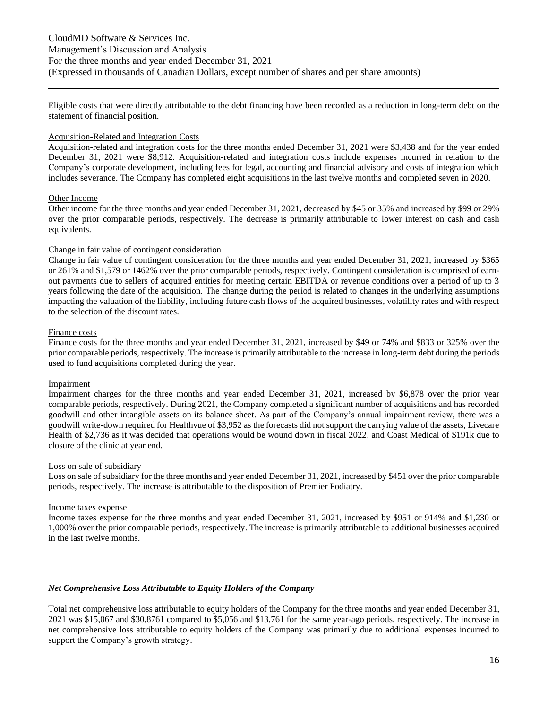Eligible costs that were directly attributable to the debt financing have been recorded as a reduction in long-term debt on the statement of financial position.

#### Acquisition-Related and Integration Costs

Acquisition-related and integration costs for the three months ended December 31, 2021 were \$3,438 and for the year ended December 31, 2021 were \$8,912. Acquisition-related and integration costs include expenses incurred in relation to the Company's corporate development, including fees for legal, accounting and financial advisory and costs of integration which includes severance. The Company has completed eight acquisitions in the last twelve months and completed seven in 2020.

#### Other Income

Other income for the three months and year ended December 31, 2021, decreased by \$45 or 35% and increased by \$99 or 29% over the prior comparable periods, respectively. The decrease is primarily attributable to lower interest on cash and cash equivalents.

#### Change in fair value of contingent consideration

Change in fair value of contingent consideration for the three months and year ended December 31, 2021, increased by \$365 or 261% and \$1,579 or 1462% over the prior comparable periods, respectively. Contingent consideration is comprised of earnout payments due to sellers of acquired entities for meeting certain EBITDA or revenue conditions over a period of up to 3 years following the date of the acquisition. The change during the period is related to changes in the underlying assumptions impacting the valuation of the liability, including future cash flows of the acquired businesses, volatility rates and with respect to the selection of the discount rates.

#### Finance costs

Finance costs for the three months and year ended December 31, 2021, increased by \$49 or 74% and \$833 or 325% over the prior comparable periods, respectively. The increase is primarily attributable to the increase in long-term debt during the periods used to fund acquisitions completed during the year.

#### Impairment

Impairment charges for the three months and year ended December 31, 2021, increased by \$6,878 over the prior year comparable periods, respectively. During 2021, the Company completed a significant number of acquisitions and has recorded goodwill and other intangible assets on its balance sheet. As part of the Company's annual impairment review, there was a goodwill write-down required for Healthvue of \$3,952 as the forecasts did not support the carrying value of the assets, Livecare Health of \$2,736 as it was decided that operations would be wound down in fiscal 2022, and Coast Medical of \$191k due to closure of the clinic at year end.

#### Loss on sale of subsidiary

Loss on sale of subsidiary for the three months and year ended December 31, 2021, increased by \$451 over the prior comparable periods, respectively. The increase is attributable to the disposition of Premier Podiatry.

#### Income taxes expense

Income taxes expense for the three months and year ended December 31, 2021, increased by \$951 or 914% and \$1,230 or 1,000% over the prior comparable periods, respectively. The increase is primarily attributable to additional businesses acquired in the last twelve months.

#### *Net Comprehensive Loss Attributable to Equity Holders of the Company*

Total net comprehensive loss attributable to equity holders of the Company for the three months and year ended December 31, 2021 was \$15,067 and \$30,8761 compared to \$5,056 and \$13,761 for the same year-ago periods, respectively. The increase in net comprehensive loss attributable to equity holders of the Company was primarily due to additional expenses incurred to support the Company's growth strategy.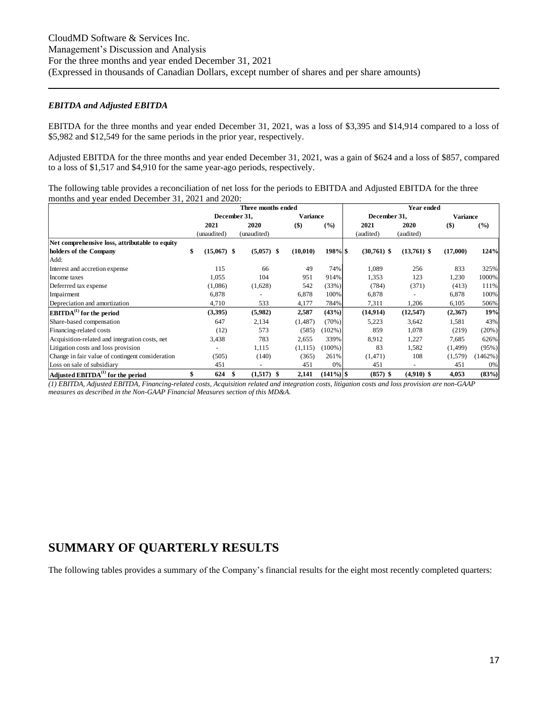#### *EBITDA and Adjusted EBITDA*

EBITDA for the three months and year ended December 31, 2021, was a loss of \$3,395 and \$14,914 compared to a loss of \$5,982 and \$12,549 for the same periods in the prior year, respectively.

Adjusted EBITDA for the three months and year ended December 31, 2021, was a gain of \$624 and a loss of \$857, compared to a loss of \$1,517 and \$4,910 for the same year-ago periods, respectively.

The following table provides a reconciliation of net loss for the periods to EBITDA and Adjusted EBITDA for the three months and year ended December 31, 2021 and 2020:

|                                                  |                     | Three months ended  |                 | Year ended   |               |               |                 |         |  |  |  |
|--------------------------------------------------|---------------------|---------------------|-----------------|--------------|---------------|---------------|-----------------|---------|--|--|--|
|                                                  |                     | December 31,        | <b>Variance</b> |              | December 31,  |               | <b>Variance</b> |         |  |  |  |
|                                                  | 2021                | 2020                | $($ \$          | (%)          | 2021          | 2020          | $($ \$)         | (%)     |  |  |  |
|                                                  | (unaudited)         | (unaudited)         |                 |              | (audited)     | (audited)     |                 |         |  |  |  |
| Net comprehensive loss, attributable to equity   |                     |                     |                 |              |               |               |                 |         |  |  |  |
| holders of the Company                           | \$<br>$(15,067)$ \$ | $(5,057)$ \$        | (10,010)        | $198\%$ \$   | $(30,761)$ \$ | $(13,761)$ \$ | (17,000)        | 124%    |  |  |  |
| Add:                                             |                     |                     |                 |              |               |               |                 |         |  |  |  |
| Interest and accretion expense                   | 115                 | 66                  | 49              | 74%          | 1,089         | 256           | 833             | 325%    |  |  |  |
| Income taxes                                     | 1,055               | 104                 | 951             | 914%         | 1,353         | 123           | 1,230           | 1000%   |  |  |  |
| Deferrred tax expense                            | (1,086)             | (1,628)             | 542             | (33%)        | (784)         | (371)         | (413)           | 111%    |  |  |  |
| Impairment                                       | 6,878               |                     | 6,878           | 100%         | 6,878         |               | 6,878           | 100%    |  |  |  |
| Depreciation and amortization                    | 4,710               | 533                 | 4,177           | 784%         | 7,311         | 1,206         | 6,105           | 506%    |  |  |  |
| $EBITDA(1)$ for the period                       | (3,395)             | (5,982)             | 2,587           | (43%)        | (14, 914)     | (12, 547)     | (2,367)         | 19%     |  |  |  |
| Share-based compensation                         | 647                 | 2,134               | (1,487)         | (70%)        | 5,223         | 3,642         | 1,581           | 43%     |  |  |  |
| Financing-related costs                          | (12)                | 573                 | (585)           | $(102\%)$    | 859           | 1,078         | (219)           | (20%)   |  |  |  |
| Acquisition-related and integration costs, net   | 3,438               | 783                 | 2,655           | 339%         | 8.912         | 1,227         | 7,685           | 626%    |  |  |  |
| Litigation costs and loss provision              |                     | 1,115               | (1, 115)        | $(100\%)$    | 83            | 1,582         | (1, 499)        | (95%)   |  |  |  |
| Change in fair value of contingent consideration | (505)               | (140)               | (365)           | 261%         | (1,471)       | 108           | (1,579)         | (1462%) |  |  |  |
| Loss on sale of subsidiary                       | 451                 |                     | 451             | 0%           | 451           |               | 451             | 0%      |  |  |  |
| Adjusted EBITDA <sup>(1)</sup> for the period    | \$<br>624           | $(1,517)$ \$<br>-\$ | 2,141           | $(141\%)$ \$ | $(857)$ \$    | $(4,910)$ \$  | 4,053           | (83%)   |  |  |  |

*(1) EBITDA, Adjusted EBITDA, Financing-related costs, Acquisition related and integration costs, litigation costs and loss provision are non-GAAP measures as described in the Non-GAAP Financial Measures section of this MD&A.*

### **SUMMARY OF QUARTERLY RESULTS**

The following tables provides a summary of the Company's financial results for the eight most recently completed quarters: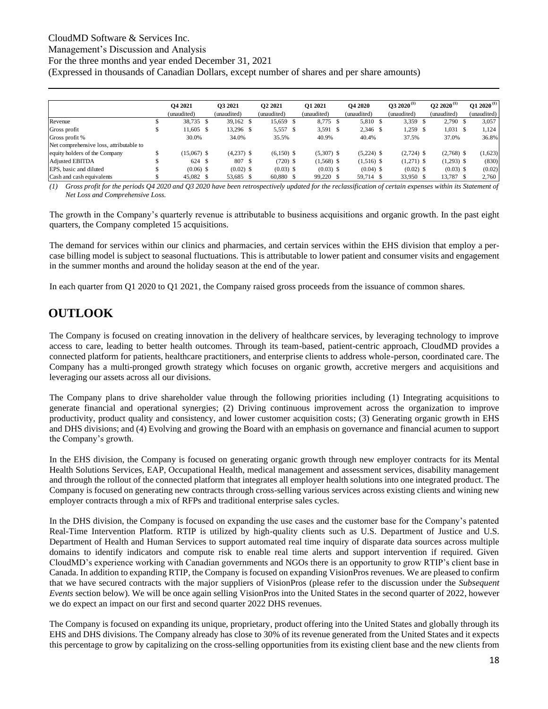### CloudMD Software & Services Inc.

Management's Discussion and Analysis

For the three months and year ended December 31, 2021

(Expressed in thousands of Canadian Dollars, except number of shares and per share amounts)

|                                         | <b>O4 2021</b> | O3 2021      | <b>O2 2021</b> | <b>O1 2021</b> | <b>O4 2020</b> | $032020^{(1)}$ |    | $Q22020^{(1)}$ | $Q1 2020^{(1)}$ |
|-----------------------------------------|----------------|--------------|----------------|----------------|----------------|----------------|----|----------------|-----------------|
|                                         | (unaudited)    | (unaudited)  | (unaudited)    | (unaudited)    | (unaudited)    | (unaudited)    |    | (unaudited)    | (unaudited)     |
| Revenue                                 | 38,735 \$      | 39,162 \$    | 15,659 \$      | 8.775 \$       | 5,810 \$       | 3,359          | -S | 2,790 \$       | 3,057           |
| Gross profit                            | 11,605 \$      | 13,296 \$    | 5,557 \$       | $3,591$ \$     | 2,346 \$       | 1,259          |    | $1,031$ \$     | 1,124           |
| Gross profit %                          | 30.0%          | 34.0%        | 35.5%          | 40.9%          | 40.4%          | 37.5%          |    | 37.0%          | 36.8%           |
| Net comprehensive loss, attributable to |                |              |                |                |                |                |    |                |                 |
| equity holders of the Company           | $(15,067)$ \$  | $(4,237)$ \$ | $(6,150)$ \$   | $(5,307)$ \$   | $(5,224)$ \$   | $(2,724)$ \$   |    | $(2,768)$ \$   | (1,623)         |
| <b>Adjusted EBITDA</b>                  | 624 \$         | 807 \$       | $(720)$ \$     | $(1,568)$ \$   | $(1,516)$ \$   | $(1,271)$ \$   |    | $(1,293)$ \$   | (830)           |
| EPS, basic and diluted                  | $(0.06)$ \$    | $(0.02)$ \$  | $(0.03)$ \$    | $(0.03)$ \$    | $(0.04)$ \$    | $(0.02)$ \$    |    | $(0.03)$ \$    | (0.02)          |
| Cash and cash equivalents               | 45,082 \$      | 53,685 \$    | 60,880 \$      | 99,220 \$      | 59,714 \$      | 33,950 \$      |    | 13,787 \$      | 2,760           |

*(1) Gross profit for the periods Q4 2020 and Q3 2020 have been retrospectively updated for the reclassification of certain expenses within its Statement of Net Loss and Comprehensive Loss.*

The growth in the Company's quarterly revenue is attributable to business acquisitions and organic growth. In the past eight quarters, the Company completed 15 acquisitions.

The demand for services within our clinics and pharmacies, and certain services within the EHS division that employ a percase billing model is subject to seasonal fluctuations. This is attributable to lower patient and consumer visits and engagement in the summer months and around the holiday season at the end of the year.

In each quarter from Q1 2020 to Q1 2021, the Company raised gross proceeds from the issuance of common shares.

# **OUTLOOK**

The Company is focused on creating innovation in the delivery of healthcare services, by leveraging technology to improve access to care, leading to better health outcomes. Through its team-based, patient-centric approach, CloudMD provides a connected platform for patients, healthcare practitioners, and enterprise clients to address whole-person, coordinated care. The Company has a multi-pronged growth strategy which focuses on organic growth, accretive mergers and acquisitions and leveraging our assets across all our divisions.

The Company plans to drive shareholder value through the following priorities including (1) Integrating acquisitions to generate financial and operational synergies; (2) Driving continuous improvement across the organization to improve productivity, product quality and consistency, and lower customer acquisition costs; (3) Generating organic growth in EHS and DHS divisions; and (4) Evolving and growing the Board with an emphasis on governance and financial acumen to support the Company's growth.

In the EHS division, the Company is focused on generating organic growth through new employer contracts for its Mental Health Solutions Services, EAP, Occupational Health, medical management and assessment services, disability management and through the rollout of the connected platform that integrates all employer health solutions into one integrated product. The Company is focused on generating new contracts through cross-selling various services across existing clients and wining new employer contracts through a mix of RFPs and traditional enterprise sales cycles.

In the DHS division, the Company is focused on expanding the use cases and the customer base for the Company's patented Real-Time Intervention Platform. RTIP is utilized by high-quality clients such as U.S. Department of Justice and U.S. Department of Health and Human Services to support automated real time inquiry of disparate data sources across multiple domains to identify indicators and compute risk to enable real time alerts and support intervention if required. Given CloudMD's experience working with Canadian governments and NGOs there is an opportunity to grow RTIP's client base in Canada. In addition to expanding RTIP, the Company is focused on expanding VisionPros revenues. We are pleased to confirm that we have secured contracts with the major suppliers of VisionPros (please refer to the discussion under the *Subsequent Events* section below). We will be once again selling VisionPros into the United States in the second quarter of 2022, however we do expect an impact on our first and second quarter 2022 DHS revenues. ENGINE TRANSFER (1998)<br>
The Construction of the state of the state of the state of the state of the state of the state of the state of the state of the state of the state of the state of the state of the state of the stat

The Company is focused on expanding its unique, proprietary, product offering into the United States and globally through its EHS and DHS divisions. The Company already has close to 30% of its revenue generated from the United States and it expects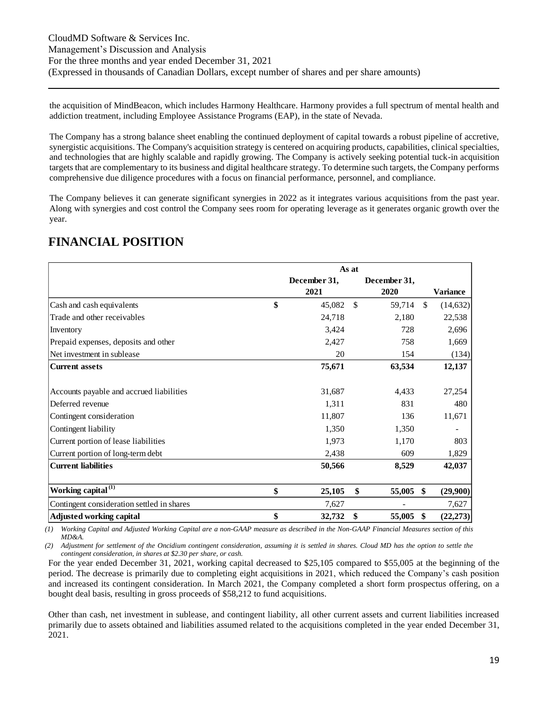the acquisition of MindBeacon, which includes Harmony Healthcare. Harmony provides a full spectrum of mental health and addiction treatment, including Employee Assistance Programs (EAP), in the state of Nevada.

The Company has a strong balance sheet enabling the continued deployment of capital towards a robust pipeline of accretive, synergistic acquisitions. The Company's acquisition strategy is centered on acquiring products, capabilities, clinical specialties, and technologies that are highly scalable and rapidly growing. The Company is actively seeking potential tuck-in acquisition targets that are complementary to its business and digital healthcare strategy. To determine such targets, the Company performs comprehensive due diligence procedures with a focus on financial performance, personnel, and compliance.

The Company believes it can generate significant synergies in 2022 as it integrates various acquisitions from the past year. Along with synergies and cost control the Company sees room for operating leverage as it generates organic growth over the year.

| <b>FINANCIAL POSITION</b> |  |
|---------------------------|--|
|                           |  |

|                                            | As at                |    |                      |               |                 |  |  |  |  |
|--------------------------------------------|----------------------|----|----------------------|---------------|-----------------|--|--|--|--|
|                                            | December 31,<br>2021 |    | December 31,<br>2020 |               | <b>Variance</b> |  |  |  |  |
| \$<br>Cash and cash equivalents            | 45,082               | \$ | 59,714               | <sup>\$</sup> | (14, 632)       |  |  |  |  |
| Trade and other receivables                | 24,718               |    | 2,180                |               | 22,538          |  |  |  |  |
| Inventory                                  | 3,424                |    | 728                  |               | 2,696           |  |  |  |  |
| Prepaid expenses, deposits and other       | 2,427                |    | 758                  |               | 1,669           |  |  |  |  |
| Net investment in sublease                 | 20                   |    | 154                  |               | (134)           |  |  |  |  |
| <b>Current assets</b>                      | 75,671               |    | 63,534               |               | 12,137          |  |  |  |  |
|                                            |                      |    |                      |               |                 |  |  |  |  |
| Accounts payable and accrued liabilities   | 31,687               |    | 4,433                |               | 27,254          |  |  |  |  |
| Deferred revenue                           | 1,311                |    | 831                  |               | 480             |  |  |  |  |
| Contingent consideration                   | 11,807               |    | 136                  |               | 11,671          |  |  |  |  |
| Contingent liability                       | 1,350                |    | 1,350                |               |                 |  |  |  |  |
| Current portion of lease liabilities       | 1,973                |    | 1,170                |               | 803             |  |  |  |  |
| Current portion of long-term debt          | 2,438                |    | 609                  |               | 1,829           |  |  |  |  |
| <b>Current liabilities</b>                 | 50,566               |    | 8,529                |               | 42,037          |  |  |  |  |
|                                            |                      |    |                      |               |                 |  |  |  |  |
| Working capital <sup>(1)</sup><br>\$       | 25,105               | \$ | 55,005               | \$            | (29,900)        |  |  |  |  |
| Contingent consideration settled in shares | 7,627                |    |                      |               | 7,627           |  |  |  |  |
| \$<br><b>Adjusted working capital</b>      | 32,732               | \$ | 55,005               | \$            | (22, 273)       |  |  |  |  |

*(1) Working Capital and Adjusted Working Capital are a non-GAAP measure as described in the Non-GAAP Financial Measures section of this MD&A.*

*(2) Adjustment for settlement of the Oncidium contingent consideration, assuming it is settled in shares. Cloud MD has the option to settle the contingent consideration, in shares at \$2.30 per share, or cash.*

For the year ended December 31, 2021, working capital decreased to \$25,105 compared to \$55,005 at the beginning of the period. The decrease is primarily due to completing eight acquisitions in 2021, which reduced the Company's cash position and increased its contingent consideration. In March 2021, the Company completed a short form prospectus offering, on a bought deal basis, resulting in gross proceeds of \$58,212 to fund acquisitions.

Other than cash, net investment in sublease, and contingent liability, all other current assets and current liabilities increased primarily due to assets obtained and liabilities assumed related to the acquisitions completed in the year ended December 31, 2021.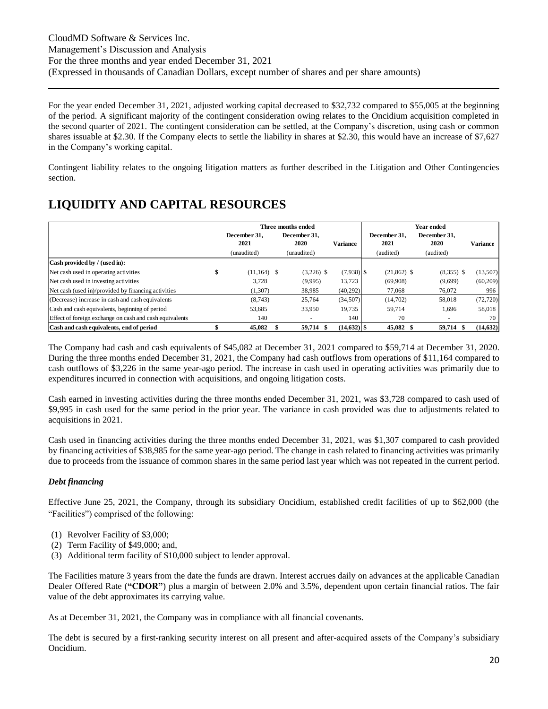For the year ended December 31, 2021, adjusted working capital decreased to \$32,732 compared to \$55,005 at the beginning of the period. A significant majority of the contingent consideration owing relates to the Oncidium acquisition completed in the second quarter of 2021. The contingent consideration can be settled, at the Company's discretion, using cash or common shares issuable at \$2.30. If the Company elects to settle the liability in shares at \$2.30, this would have an increase of \$7,627 in the Company's working capital.

Contingent liability relates to the ongoing litigation matters as further described in the Litigation and Other Contingencies section.

# **LIQUIDITY AND CAPITAL RESOURCES**

|                                                         |                      | Three months ended |                      | <b>Year ended</b> |               |  |                      |  |                          |                 |
|---------------------------------------------------------|----------------------|--------------------|----------------------|-------------------|---------------|--|----------------------|--|--------------------------|-----------------|
|                                                         | December 31.<br>2021 |                    | December 31.<br>2020 |                   | Variance      |  | December 31.<br>2021 |  | December 31.<br>2020     | <b>Variance</b> |
|                                                         | (unaudited)          |                    | (unaudited)          |                   |               |  | (audited)            |  | (audited)                |                 |
| Cash provided by / (used in):                           |                      |                    |                      |                   |               |  |                      |  |                          |                 |
| Net cash used in operating activities                   | $(11.164)$ \$        |                    | $(3,226)$ \$         |                   | $(7.938)$ \$  |  | $(21,862)$ \$        |  | $(8,355)$ \$             | (13,507)        |
| Net cash used in investing activities                   | 3.728                |                    | (9,995)              |                   | 13.723        |  | (69,908)             |  | (9,699)                  | (60,209)        |
| Net cash (used in)/provided by financing activities     | (1, 307)             |                    | 38,985               |                   | (40,292)      |  | 77,068               |  | 76,072                   | 996             |
| (Decrease) increase in cash and cash equivalents        | (8,743)              |                    | 25,764               |                   | (34,507)      |  | (14,702)             |  | 58,018                   | (72, 720)       |
| Cash and cash equivalents, beginning of period          | 53,685               |                    | 33,950               |                   | 19.735        |  | 59.714               |  | 1,696                    | 58,018          |
| Effect of foreign exchange on cash and cash equivalents | 140                  |                    |                      |                   | 140           |  | 70                   |  | $\overline{\phantom{a}}$ | 70              |
| Cash and cash equivalents, end of period                | 45,082               |                    | 59.714 \$            |                   | $(14,632)$ \$ |  | 45,082 \$            |  | 59.714 \$                | (14, 632)       |

The Company had cash and cash equivalents of \$45,082 at December 31, 2021 compared to \$59,714 at December 31, 2020. During the three months ended December 31, 2021, the Company had cash outflows from operations of \$11,164 compared to cash outflows of \$3,226 in the same year-ago period. The increase in cash used in operating activities was primarily due to expenditures incurred in connection with acquisitions, and ongoing litigation costs.

Cash earned in investing activities during the three months ended December 31, 2021, was \$3,728 compared to cash used of \$9,995 in cash used for the same period in the prior year. The variance in cash provided was due to adjustments related to acquisitions in 2021.

Cash used in financing activities during the three months ended December 31, 2021, was \$1,307 compared to cash provided by financing activities of \$38,985 for the same year-ago period. The change in cash related to financing activities was primarily due to proceeds from the issuance of common shares in the same period last year which was not repeated in the current period.

### *Debt financing*

Effective June 25, 2021, the Company, through its subsidiary Oncidium, established credit facilities of up to \$62,000 (the "Facilities") comprised of the following:

- (1) Revolver Facility of \$3,000;
- (2) Term Facility of \$49,000; and,
- (3) Additional term facility of \$10,000 subject to lender approval.

The Facilities mature 3 years from the date the funds are drawn. Interest accrues daily on advances at the applicable Canadian Dealer Offered Rate (**"CDOR"**) plus a margin of between 2.0% and 3.5%, dependent upon certain financial ratios. The fair value of the debt approximates its carrying value.

As at December 31, 2021, the Company was in compliance with all financial covenants.

The debt is secured by a first-ranking security interest on all present and after-acquired assets of the Company's subsidiary Oncidium.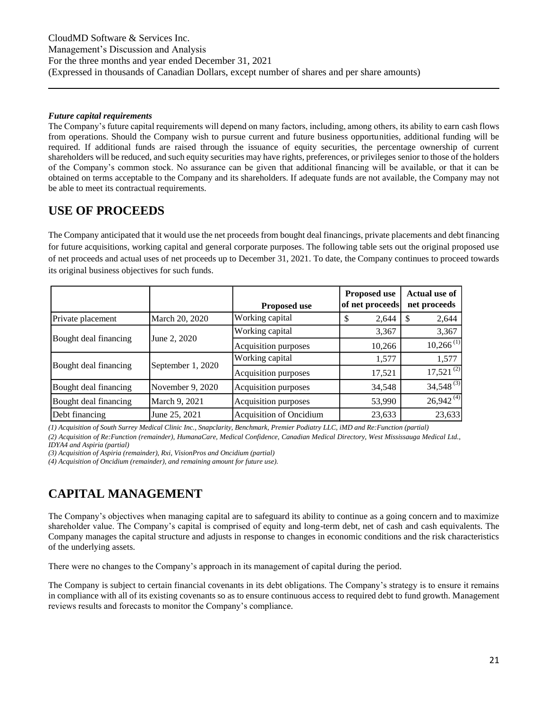#### *Future capital requirements*

The Company's future capital requirements will depend on many factors, including, among others, its ability to earn cash flows from operations. Should the Company wish to pursue current and future business opportunities, additional funding will be required. If additional funds are raised through the issuance of equity securities, the percentage ownership of current shareholders will be reduced, and such equity securities may have rights, preferences, or privileges senior to those of the holders of the Company's common stock. No assurance can be given that additional financing will be available, or that it can be obtained on terms acceptable to the Company and its shareholders. If adequate funds are not available, the Company may not be able to meet its contractual requirements.

### **USE OF PROCEEDS**

The Company anticipated that it would use the net proceeds from bought deal financings, private placements and debt financing for future acquisitions, working capital and general corporate purposes. The following table sets out the original proposed use of net proceeds and actual uses of net proceeds up to December 31, 2021. To date, the Company continues to proceed towards its original business objectives for such funds.

|                       |                   | <b>Proposed use</b>     | <b>Proposed use</b><br>of net proceeds | <b>Actual use of</b><br>net proceeds |
|-----------------------|-------------------|-------------------------|----------------------------------------|--------------------------------------|
| Private placement     | March 20, 2020    | Working capital         | 2,644                                  | 2,644                                |
|                       |                   | Working capital         | 3,367                                  | 3,367                                |
| Bought deal financing | June 2, 2020      | Acquisition purposes    | 10,266                                 | $10,266$ <sup>(1)</sup>              |
|                       |                   | Working capital         | 1,577                                  | 1,577                                |
| Bought deal financing | September 1, 2020 | Acquisition purposes    | 17,521                                 | $17,521^{(2)}$                       |
| Bought deal financing | November 9, 2020  | Acquisition purposes    | 34,548                                 | $34,548^{(3)}$                       |
| Bought deal financing | March 9, 2021     | Acquisition purposes    | 53,990                                 | $26,942^{(4)}$                       |
| Debt financing        | June 25, 2021     | Acquisition of Oncidium | 23,633                                 | 23,633                               |

*(1) Acquisition of South Surrey Medical Clinic Inc., Snapclarity, Benchmark, Premier Podiatry LLC, iMD and Re:Function (partial) (2) Acquisition of Re:Function (remainder), HumanaCare, Medical Confidence, Canadian Medical Directory, West Mississauga Medical Ltd.,*

*IDYA4 and Aspiria (partial)*

*(3) Acquisition of Aspiria (remainder), Rxi, VisionPros and Oncidium (partial)*

*(4) Acquisition of Oncidium (remainder), and remaining amount for future use).*

# **CAPITAL MANAGEMENT**

The Company's objectives when managing capital are to safeguard its ability to continue as a going concern and to maximize shareholder value. The Company's capital is comprised of equity and long-term debt, net of cash and cash equivalents. The Company manages the capital structure and adjusts in response to changes in economic conditions and the risk characteristics of the underlying assets.

There were no changes to the Company's approach in its management of capital during the period.

The Company is subject to certain financial covenants in its debt obligations. The Company's strategy is to ensure it remains in compliance with all of its existing covenants so as to ensure continuous access to required debt to fund growth. Management reviews results and forecasts to monitor the Company's compliance.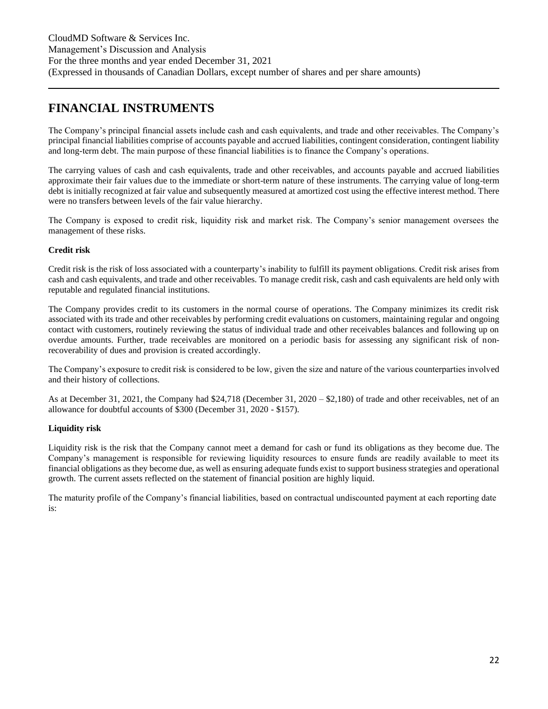# **FINANCIAL INSTRUMENTS**

The Company's principal financial assets include cash and cash equivalents, and trade and other receivables. The Company's principal financial liabilities comprise of accounts payable and accrued liabilities, contingent consideration, contingent liability and long-term debt. The main purpose of these financial liabilities is to finance the Company's operations.

The carrying values of cash and cash equivalents, trade and other receivables, and accounts payable and accrued liabilities approximate their fair values due to the immediate or short-term nature of these instruments. The carrying value of long-term debt is initially recognized at fair value and subsequently measured at amortized cost using the effective interest method. There were no transfers between levels of the fair value hierarchy.

The Company is exposed to credit risk, liquidity risk and market risk. The Company's senior management oversees the management of these risks.

### **Credit risk**

Credit risk is the risk of loss associated with a counterparty's inability to fulfill its payment obligations. Credit risk arises from cash and cash equivalents, and trade and other receivables. To manage credit risk, cash and cash equivalents are held only with reputable and regulated financial institutions.

The Company provides credit to its customers in the normal course of operations. The Company minimizes its credit risk associated with its trade and other receivables by performing credit evaluations on customers, maintaining regular and ongoing contact with customers, routinely reviewing the status of individual trade and other receivables balances and following up on overdue amounts. Further, trade receivables are monitored on a periodic basis for assessing any significant risk of nonrecoverability of dues and provision is created accordingly.

The Company's exposure to credit risk is considered to be low, given the size and nature of the various counterparties involved and their history of collections.

As at December 31, 2021, the Company had \$24,718 (December 31, 2020 – \$2,180) of trade and other receivables, net of an allowance for doubtful accounts of \$300 (December 31, 2020 - \$157).

### **Liquidity risk**

Liquidity risk is the risk that the Company cannot meet a demand for cash or fund its obligations as they become due. The Company's management is responsible for reviewing liquidity resources to ensure funds are readily available to meet its financial obligations as they become due, as well as ensuring adequate funds exist to support business strategies and operational growth. The current assets reflected on the statement of financial position are highly liquid.

The maturity profile of the Company's financial liabilities, based on contractual undiscounted payment at each reporting date is: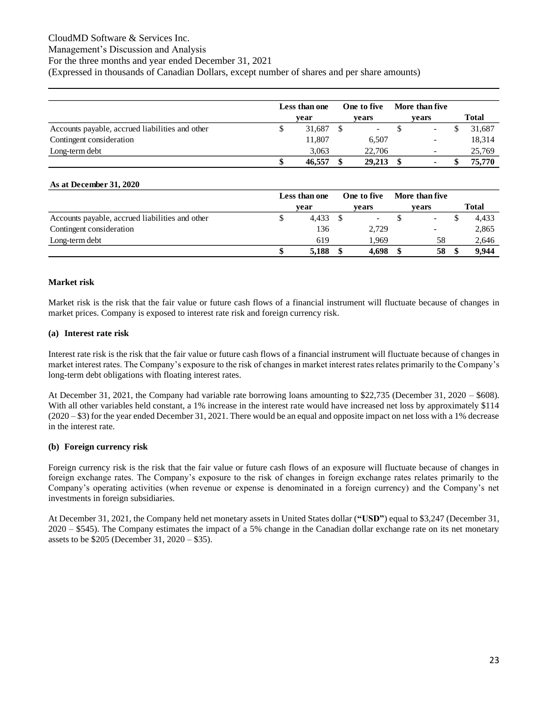### CloudMD Software & Services Inc.

### Management's Discussion and Analysis

For the three months and year ended December 31, 2021

(Expressed in thousands of Canadian Dollars, except number of shares and per share amounts)

|                                                 | Less than one |        | One to five |                          | <b>More than five</b> |       |  |              |  |
|-------------------------------------------------|---------------|--------|-------------|--------------------------|-----------------------|-------|--|--------------|--|
|                                                 |               | vear   |             | vears                    |                       | vears |  | <b>Total</b> |  |
| Accounts payable, accrued liabilities and other |               | 31.687 |             | $\overline{\phantom{a}}$ |                       |       |  | 31,687       |  |
| Contingent consideration                        |               | 11.807 |             | 6,507                    |                       |       |  | 18,314       |  |
| Long-term debt                                  |               | 3.063  |             | 22,706                   |                       | -     |  | 25,769       |  |
|                                                 |               | 46,557 | \$          | 29,213                   |                       |       |  | 75,770       |  |

#### **As at December 31, 2020**

|                                                 | Less than one |       | One to five              | More than five |       |       |
|-------------------------------------------------|---------------|-------|--------------------------|----------------|-------|-------|
|                                                 |               | vear  | vears                    |                | vears | Total |
| Accounts payable, accrued liabilities and other |               | 4.433 | $\overline{\phantom{a}}$ |                |       | 4,433 |
| Contingent consideration                        |               | 136   | 2,729                    |                | -     | 2,865 |
| Long-term debt                                  |               | 619   | 1.969                    |                | 58    | 2,646 |
|                                                 |               | 5,188 | 4.698                    |                | 58    | 9.944 |

#### **Market risk**

Market risk is the risk that the fair value or future cash flows of a financial instrument will fluctuate because of changes in market prices. Company is exposed to interest rate risk and foreign currency risk.

#### **(a) Interest rate risk**

Interest rate risk is the risk that the fair value or future cash flows of a financial instrument will fluctuate because of changes in market interest rates. The Company's exposure to the risk of changes in market interest rates relates primarily to the Company's long-term debt obligations with floating interest rates.

At December 31, 2021, the Company had variable rate borrowing loans amounting to \$22,735 (December 31, 2020 – \$608). With all other variables held constant, a 1% increase in the interest rate would have increased net loss by approximately \$114 (2020 – \$3) for the year ended December 31, 2021. There would be an equal and opposite impact on net loss with a 1% decrease in the interest rate.

#### **(b) Foreign currency risk**

Foreign currency risk is the risk that the fair value or future cash flows of an exposure will fluctuate because of changes in foreign exchange rates. The Company's exposure to the risk of changes in foreign exchange rates relates primarily to the Company's operating activities (when revenue or expense is denominated in a foreign currency) and the Company's net investments in foreign subsidiaries.

At December 31, 2021, the Company held net monetary assets in United States dollar (**"USD"**) equal to \$3,247 (December 31, 2020 – \$545). The Company estimates the impact of a 5% change in the Canadian dollar exchange rate on its net monetary assets to be \$205 (December 31, 2020 – \$35).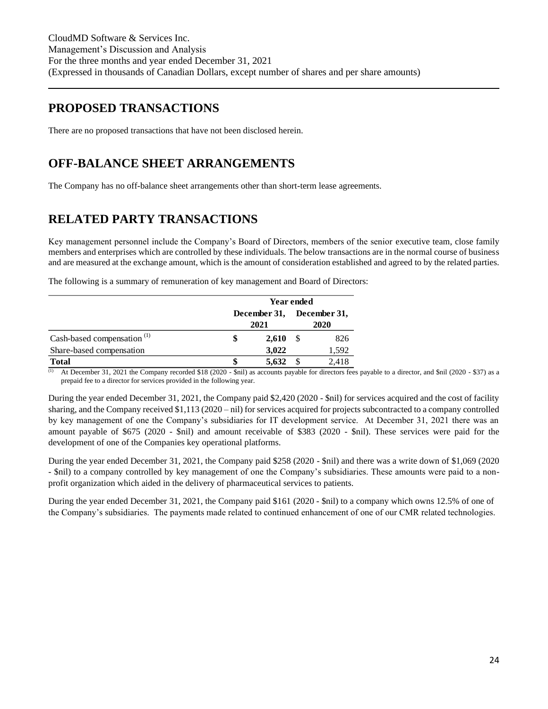## **PROPOSED TRANSACTIONS**

There are no proposed transactions that have not been disclosed herein.

# **OFF-BALANCE SHEET ARRANGEMENTS**

The Company has no off-balance sheet arrangements other than short-term lease agreements.

# **RELATED PARTY TRANSACTIONS**

Key management personnel include the Company's Board of Directors, members of the senior executive team, close family members and enterprises which are controlled by these individuals. The below transactions are in the normal course of business and are measured at the exchange amount, which is the amount of consideration established and agreed to by the related parties.

The following is a summary of remuneration of key management and Board of Directors:

|                                        | Year ended                |       |  |       |  |
|----------------------------------------|---------------------------|-------|--|-------|--|
|                                        | December 31, December 31, |       |  |       |  |
|                                        |                           | 2021  |  |       |  |
| Cash-based compensation <sup>(1)</sup> |                           | 2,610 |  | 826   |  |
| Share-based compensation               |                           | 3,022 |  | 1,592 |  |
| <b>Total</b>                           |                           | 5.632 |  | 2.418 |  |

(1) At December 31, 2021 the Company recorded \$18 (2020 - \$nil) as accounts payable for directors fees payable to a director, and \$nil (2020 - \$37) as a prepaid fee to a director for services provided in the following year.

During the year ended December 31, 2021, the Company paid \$2,420 (2020 - \$nil) for services acquired and the cost of facility sharing, and the Company received \$1,113 (2020 – nil) for services acquired for projects subcontracted to a company controlled by key management of one the Company's subsidiaries for IT development service. At December 31, 2021 there was an amount payable of \$675 (2020 - \$nil) and amount receivable of \$383 (2020 - \$nil). These services were paid for the development of one of the Companies key operational platforms.

During the year ended December 31, 2021, the Company paid \$258 (2020 - \$nil) and there was a write down of \$1,069 (2020 - \$nil) to a company controlled by key management of one the Company's subsidiaries. These amounts were paid to a nonprofit organization which aided in the delivery of pharmaceutical services to patients.

During the year ended December 31, 2021, the Company paid \$161 (2020 - \$nil) to a company which owns 12.5% of one of the Company's subsidiaries. The payments made related to continued enhancement of one of our CMR related technologies.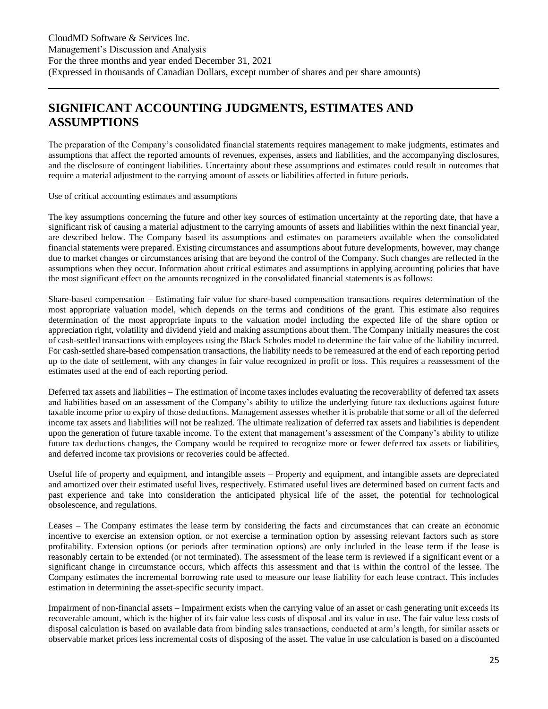# **SIGNIFICANT ACCOUNTING JUDGMENTS, ESTIMATES AND ASSUMPTIONS**

The preparation of the Company's consolidated financial statements requires management to make judgments, estimates and assumptions that affect the reported amounts of revenues, expenses, assets and liabilities, and the accompanying disclosures, and the disclosure of contingent liabilities. Uncertainty about these assumptions and estimates could result in outcomes that require a material adjustment to the carrying amount of assets or liabilities affected in future periods.

Use of critical accounting estimates and assumptions

The key assumptions concerning the future and other key sources of estimation uncertainty at the reporting date, that have a significant risk of causing a material adjustment to the carrying amounts of assets and liabilities within the next financial year, are described below. The Company based its assumptions and estimates on parameters available when the consolidated financial statements were prepared. Existing circumstances and assumptions about future developments, however, may change due to market changes or circumstances arising that are beyond the control of the Company. Such changes are reflected in the assumptions when they occur. Information about critical estimates and assumptions in applying accounting policies that have the most significant effect on the amounts recognized in the consolidated financial statements is as follows:

Share-based compensation – Estimating fair value for share-based compensation transactions requires determination of the most appropriate valuation model, which depends on the terms and conditions of the grant. This estimate also requires determination of the most appropriate inputs to the valuation model including the expected life of the share option or appreciation right, volatility and dividend yield and making assumptions about them. The Company initially measures the cost of cash-settled transactions with employees using the Black Scholes model to determine the fair value of the liability incurred. For cash-settled share-based compensation transactions, the liability needs to be remeasured at the end of each reporting period up to the date of settlement, with any changes in fair value recognized in profit or loss. This requires a reassessment of the estimates used at the end of each reporting period.

Deferred tax assets and liabilities – The estimation of income taxes includes evaluating the recoverability of deferred tax assets and liabilities based on an assessment of the Company's ability to utilize the underlying future tax deductions against future taxable income prior to expiry of those deductions. Management assesses whether it is probable that some or all of the deferred income tax assets and liabilities will not be realized. The ultimate realization of deferred tax assets and liabilities is dependent upon the generation of future taxable income. To the extent that management's assessment of the Company's ability to utilize future tax deductions changes, the Company would be required to recognize more or fewer deferred tax assets or liabilities, and deferred income tax provisions or recoveries could be affected.

Useful life of property and equipment, and intangible assets – Property and equipment, and intangible assets are depreciated and amortized over their estimated useful lives, respectively. Estimated useful lives are determined based on current facts and past experience and take into consideration the anticipated physical life of the asset, the potential for technological obsolescence, and regulations.

Leases – The Company estimates the lease term by considering the facts and circumstances that can create an economic incentive to exercise an extension option, or not exercise a termination option by assessing relevant factors such as store profitability. Extension options (or periods after termination options) are only included in the lease term if the lease is reasonably certain to be extended (or not terminated). The assessment of the lease term is reviewed if a significant event or a significant change in circumstance occurs, which affects this assessment and that is within the control of the lessee. The Company estimates the incremental borrowing rate used to measure our lease liability for each lease contract. This includes estimation in determining the asset-specific security impact.

Impairment of non-financial assets – Impairment exists when the carrying value of an asset or cash generating unit exceeds its recoverable amount, which is the higher of its fair value less costs of disposal and its value in use. The fair value less costs of disposal calculation is based on available data from binding sales transactions, conducted at arm's length, for similar assets or observable market prices less incremental costs of disposing of the asset. The value in use calculation is based on a discounted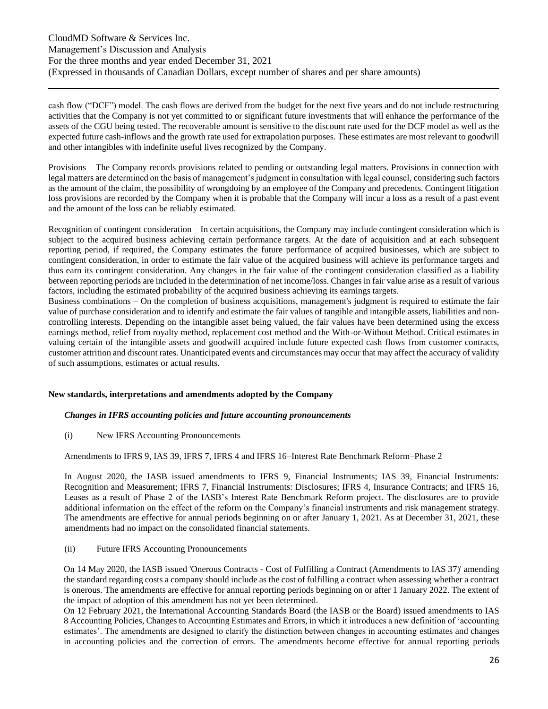cash flow ("DCF") model. The cash flows are derived from the budget for the next five years and do not include restructuring activities that the Company is not yet committed to or significant future investments that will enhance the performance of the assets of the CGU being tested. The recoverable amount is sensitive to the discount rate used for the DCF model as well as the expected future cash-inflows and the growth rate used for extrapolation purposes. These estimates are most relevant to goodwill and other intangibles with indefinite useful lives recognized by the Company.

Provisions – The Company records provisions related to pending or outstanding legal matters. Provisions in connection with legal matters are determined on the basis of management's judgment in consultation with legal counsel, considering such factors as the amount of the claim, the possibility of wrongdoing by an employee of the Company and precedents. Contingent litigation loss provisions are recorded by the Company when it is probable that the Company will incur a loss as a result of a past event and the amount of the loss can be reliably estimated.

Recognition of contingent consideration – In certain acquisitions, the Company may include contingent consideration which is subject to the acquired business achieving certain performance targets. At the date of acquisition and at each subsequent reporting period, if required, the Company estimates the future performance of acquired businesses, which are subject to contingent consideration, in order to estimate the fair value of the acquired business will achieve its performance targets and thus earn its contingent consideration. Any changes in the fair value of the contingent consideration classified as a liability between reporting periods are included in the determination of net income/loss. Changes in fair value arise as a result of various factors, including the estimated probability of the acquired business achieving its earnings targets.

Business combinations – On the completion of business acquisitions, management's judgment is required to estimate the fair value of purchase consideration and to identify and estimate the fair values of tangible and intangible assets, liabilities and noncontrolling interests. Depending on the intangible asset being valued, the fair values have been determined using the excess earnings method, relief from royalty method, replacement cost method and the With-or-Without Method. Critical estimates in valuing certain of the intangible assets and goodwill acquired include future expected cash flows from customer contracts, customer attrition and discount rates. Unanticipated events and circumstances may occur that may affect the accuracy of validity of such assumptions, estimates or actual results.

#### **New standards, interpretations and amendments adopted by the Company**

#### *Changes in IFRS accounting policies and future accounting pronouncements*

(i) New IFRS Accounting Pronouncements

Amendments to IFRS 9, IAS 39, IFRS 7, IFRS 4 and IFRS 16–Interest Rate Benchmark Reform–Phase 2

In August 2020, the IASB issued amendments to IFRS 9, Financial Instruments; IAS 39, Financial Instruments: Recognition and Measurement; IFRS 7, Financial Instruments: Disclosures; IFRS 4, Insurance Contracts; and IFRS 16, Leases as a result of Phase 2 of the IASB's Interest Rate Benchmark Reform project. The disclosures are to provide additional information on the effect of the reform on the Company's financial instruments and risk management strategy. The amendments are effective for annual periods beginning on or after January 1, 2021. As at December 31, 2021, these amendments had no impact on the consolidated financial statements.

#### (ii) Future IFRS Accounting Pronouncements

On 14 May 2020, the IASB issued 'Onerous Contracts - Cost of Fulfilling a Contract (Amendments to IAS 37)' amending the standard regarding costs a company should include as the cost of fulfilling a contract when assessing whether a contract is onerous. The amendments are effective for annual reporting periods beginning on or after 1 January 2022. The extent of the impact of adoption of this amendment has not yet been determined.

On 12 February 2021, the International Accounting Standards Board (the IASB or the Board) issued amendments to IAS 8 Accounting Policies, Changes to Accounting Estimates and Errors, in which it introduces a new definition of 'accounting estimates'. The amendments are designed to clarify the distinction between changes in accounting estimates and changes in accounting policies and the correction of errors. The amendments become effective for annual reporting periods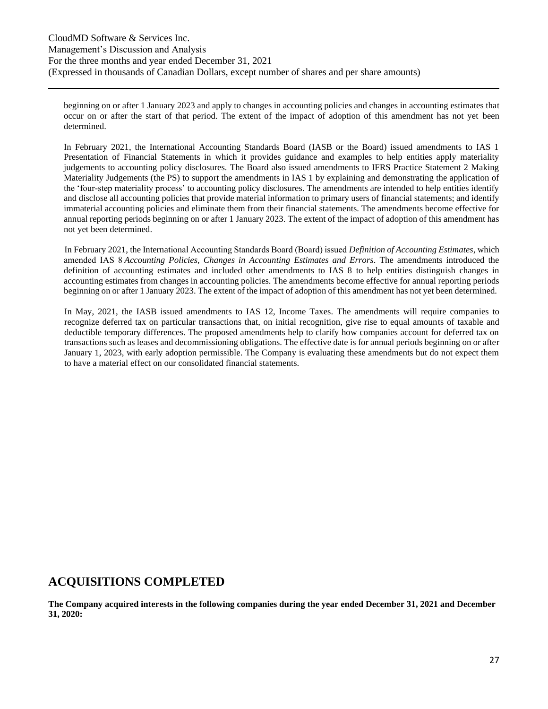beginning on or after 1 January 2023 and apply to changes in accounting policies and changes in accounting estimates that occur on or after the start of that period. The extent of the impact of adoption of this amendment has not yet been determined.

In February 2021, the International Accounting Standards Board (IASB or the Board) issued amendments to IAS 1 Presentation of Financial Statements in which it provides guidance and examples to help entities apply materiality judgements to accounting policy disclosures. The Board also issued amendments to IFRS Practice Statement 2 Making Materiality Judgements (the PS) to support the amendments in IAS 1 by explaining and demonstrating the application of the 'four-step materiality process' to accounting policy disclosures. The amendments are intended to help entities identify and disclose all accounting policies that provide material information to primary users of financial statements; and identify immaterial accounting policies and eliminate them from their financial statements. The amendments become effective for annual reporting periods beginning on or after 1 January 2023. The extent of the impact of adoption of this amendment has not yet been determined.

In February 2021, the International Accounting Standards Board (Board) issued *Definition of Accounting Estimates*, which amended IAS 8 *Accounting Policies, Changes in Accounting Estimates and Errors*. The amendments introduced the definition of accounting estimates and included other amendments to IAS 8 to help entities distinguish changes in accounting estimates from changes in accounting policies. The amendments become effective for annual reporting periods beginning on or after 1 January 2023. The extent of the impact of adoption of this amendment has not yet been determined.

In May, 2021, the IASB issued amendments to IAS 12, Income Taxes. The amendments will require companies to recognize deferred tax on particular transactions that, on initial recognition, give rise to equal amounts of taxable and deductible temporary differences. The proposed amendments help to clarify how companies account for deferred tax on transactions such as leases and decommissioning obligations. The effective date is for annual periods beginning on or after January 1, 2023, with early adoption permissible. The Company is evaluating these amendments but do not expect them to have a material effect on our consolidated financial statements.

### **ACQUISITIONS COMPLETED**

**The Company acquired interests in the following companies during the year ended December 31, 2021 and December 31, 2020:**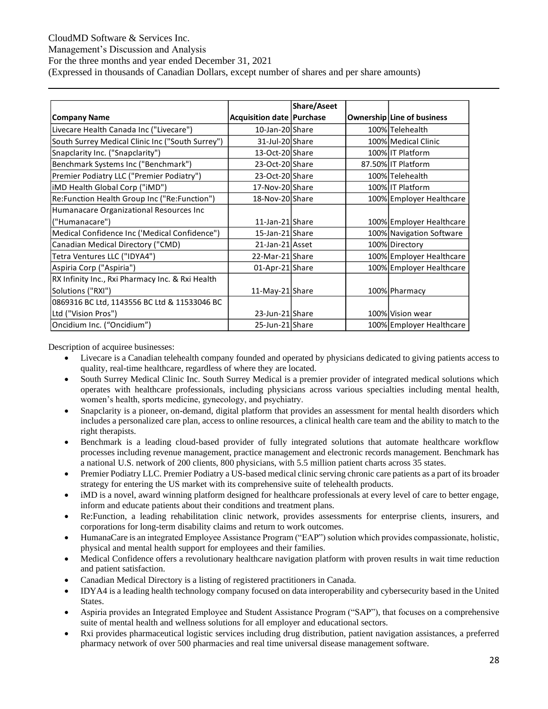### CloudMD Software & Services Inc.

Management's Discussion and Analysis

For the three months and year ended December 31, 2021

(Expressed in thousands of Canadian Dollars, except number of shares and per share amounts)

|                                                  |                                  | <b>Share/Aseet</b> |                                   |
|--------------------------------------------------|----------------------------------|--------------------|-----------------------------------|
| <b>Company Name</b>                              | <b>Acquisition date Purchase</b> |                    | <b>Ownership Line of business</b> |
| Livecare Health Canada Inc ("Livecare")          | 10-Jan-20 Share                  |                    | 100% Telehealth                   |
| South Surrey Medical Clinic Inc ("South Surrey") | 31-Jul-20 Share                  |                    | 100% Medical Clinic               |
| Snapclarity Inc. ("Snapclarity")                 | 13-Oct-20 Share                  |                    | 100% IT Platform                  |
| Benchmark Systems Inc ("Benchmark")              | 23-Oct-20 Share                  |                    | 87.50% IT Platform                |
| Premier Podiatry LLC ("Premier Podiatry")        | 23-Oct-20 Share                  |                    | 100% Telehealth                   |
| iMD Health Global Corp ("iMD")                   | 17-Nov-20 Share                  |                    | 100% IT Platform                  |
| Re:Function Health Group Inc ("Re:Function")     | 18-Nov-20 Share                  |                    | 100% Employer Healthcare          |
| Humanacare Organizational Resources Inc          |                                  |                    |                                   |
| ("Humanacare")                                   | 11-Jan-21 Share                  |                    | 100% Employer Healthcare          |
| Medical Confidence Inc ('Medical Confidence")    | 15-Jan-21 Share                  |                    | 100% Navigation Software          |
| Canadian Medical Directory ("CMD)                | 21-Jan-21 Asset                  |                    | 100% Directory                    |
| Tetra Ventures LLC ("IDYA4")                     | 22-Mar-21 Share                  |                    | 100% Employer Healthcare          |
| Aspiria Corp ("Aspiria")                         | 01-Apr-21 Share                  |                    | 100% Employer Healthcare          |
| RX Infinity Inc., Rxi Pharmacy Inc. & Rxi Health |                                  |                    |                                   |
| Solutions ("RXI")                                | 11-May-21 Share                  |                    | 100% Pharmacy                     |
| 0869316 BC Ltd, 1143556 BC Ltd & 11533046 BC     |                                  |                    |                                   |
| Ltd ("Vision Pros")                              | 23-Jun-21 Share                  |                    | 100% Vision wear                  |
| Oncidium Inc. ("Oncidium")                       | 25-Jun-21 Share                  |                    | 100% Employer Healthcare          |

Description of acquiree businesses:

- Livecare is a Canadian telehealth company founded and operated by physicians dedicated to giving patients access to quality, real-time healthcare, regardless of where they are located.
- South Surrey Medical Clinic Inc. South Surrey Medical is a premier provider of integrated medical solutions which operates with healthcare professionals, including physicians across various specialties including mental health, women's health, sports medicine, gynecology, and psychiatry.
- Snapclarity is a pioneer, on-demand, digital platform that provides an assessment for mental health disorders which includes a personalized care plan, access to online resources, a clinical health care team and the ability to match to the right therapists.
- Benchmark is a leading cloud-based provider of fully integrated solutions that automate healthcare workflow processes including revenue management, practice management and electronic records management. Benchmark has a national U.S. network of 200 clients, 800 physicians, with 5.5 million patient charts across 35 states.
- Premier Podiatry LLC. Premier Podiatry a US-based medical clinic serving chronic care patients as a part of its broader strategy for entering the US market with its comprehensive suite of telehealth products.
- iMD is a novel, award winning platform designed for healthcare professionals at every level of care to better engage, inform and educate patients about their conditions and treatment plans.
- Re:Function, a leading rehabilitation clinic network, provides assessments for enterprise clients, insurers, and corporations for long-term disability claims and return to work outcomes.
- HumanaCare is an integrated Employee Assistance Program ("EAP") solution which provides compassionate, holistic, physical and mental health support for employees and their families.
- Medical Confidence offers a revolutionary healthcare navigation platform with proven results in wait time reduction and patient satisfaction.
- Canadian Medical Directory is a listing of registered practitioners in Canada.
- IDYA4 is a leading health technology company focused on data interoperability and cybersecurity based in the United States.
- Aspiria provides an Integrated Employee and Student Assistance Program ("SAP"), that focuses on a comprehensive suite of mental health and wellness solutions for all employer and educational sectors.
- Rxi provides pharmaceutical logistic services including drug distribution, patient navigation assistances, a preferred pharmacy network of over 500 pharmacies and real time universal disease management software.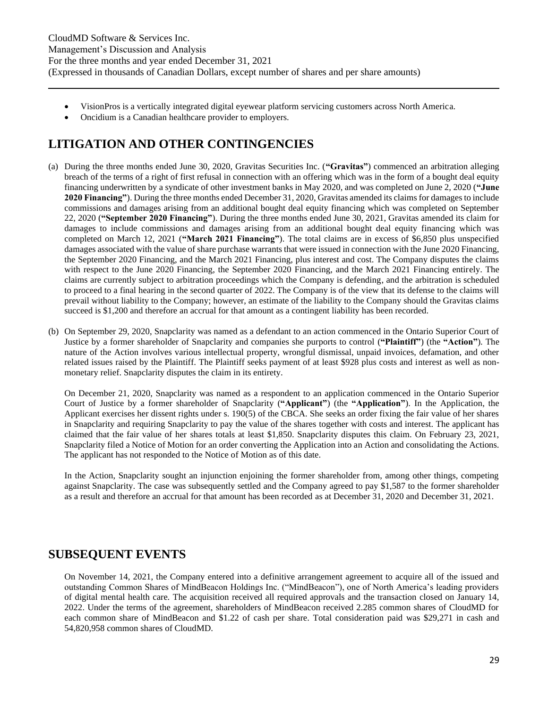- VisionPros is a vertically integrated digital eyewear platform servicing customers across North America.
- Oncidium is a Canadian healthcare provider to employers.

# <span id="page-28-0"></span>**LITIGATION AND OTHER CONTINGENCIES**

- (a) During the three months ended June 30, 2020, Gravitas Securities Inc. (**"Gravitas"**) commenced an arbitration alleging breach of the terms of a right of first refusal in connection with an offering which was in the form of a bought deal equity financing underwritten by a syndicate of other investment banks in May 2020, and was completed on June 2, 2020 (**"June 2020 Financing"**). During the three months ended December 31, 2020, Gravitas amended its claims for damages to include commissions and damages arising from an additional bought deal equity financing which was completed on September 22, 2020 (**"September 2020 Financing"**). During the three months ended June 30, 2021, Gravitas amended its claim for damages to include commissions and damages arising from an additional bought deal equity financing which was completed on March 12, 2021 (**"March 2021 Financing"**). The total claims are in excess of \$6,850 plus unspecified damages associated with the value of share purchase warrants that were issued in connection with the June 2020 Financing, the September 2020 Financing, and the March 2021 Financing, plus interest and cost. The Company disputes the claims with respect to the June 2020 Financing, the September 2020 Financing, and the March 2021 Financing entirely. The claims are currently subject to arbitration proceedings which the Company is defending, and the arbitration is scheduled to proceed to a final hearing in the second quarter of 2022. The Company is of the view that its defense to the claims will prevail without liability to the Company; however, an estimate of the liability to the Company should the Gravitas claims succeed is \$1,200 and therefore an accrual for that amount as a contingent liability has been recorded.
- (b) On September 29, 2020, Snapclarity was named as a defendant to an action commenced in the Ontario Superior Court of Justice by a former shareholder of Snapclarity and companies she purports to control (**"Plaintiff"**) (the **"Action"**). The nature of the Action involves various intellectual property, wrongful dismissal, unpaid invoices, defamation, and other related issues raised by the Plaintiff. The Plaintiff seeks payment of at least \$928 plus costs and interest as well as nonmonetary relief. Snapclarity disputes the claim in its entirety.

On December 21, 2020, Snapclarity was named as a respondent to an application commenced in the Ontario Superior Court of Justice by a former shareholder of Snapclarity (**"Applicant"**) (the **"Application"**). In the Application, the Applicant exercises her dissent rights under s. 190(5) of the CBCA. She seeks an order fixing the fair value of her shares in Snapclarity and requiring Snapclarity to pay the value of the shares together with costs and interest. The applicant has claimed that the fair value of her shares totals at least \$1,850. Snapclarity disputes this claim. On February 23, 2021, Snapclarity filed a Notice of Motion for an order converting the Application into an Action and consolidating the Actions. The applicant has not responded to the Notice of Motion as of this date.

In the Action, Snapclarity sought an injunction enjoining the former shareholder from, among other things, competing against Snapclarity. The case was subsequently settled and the Company agreed to pay \$1,587 to the former shareholder as a result and therefore an accrual for that amount has been recorded as at December 31, 2020 and December 31, 2021.

### <span id="page-28-1"></span>**SUBSEQUENT EVENTS**

On November 14, 2021, the Company entered into a definitive arrangement agreement to acquire all of the issued and outstanding Common Shares of MindBeacon Holdings Inc. ("MindBeacon"), one of North America's leading providers of digital mental health care. The acquisition received all required approvals and the transaction closed on January 14, 2022. Under the terms of the agreement, shareholders of MindBeacon received 2.285 common shares of CloudMD for each common share of MindBeacon and \$1.22 of cash per share. Total consideration paid was \$29,271 in cash and 54,820,958 common shares of CloudMD.